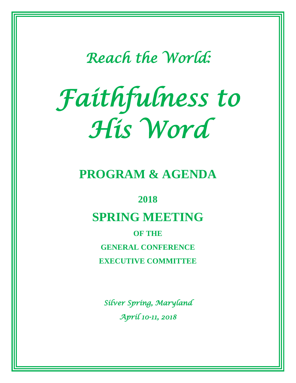*Reach the World:* 

# *Faithfulness to His Word*

# **PROGRAM & AGENDA**

## **2018**

# **SPRING MEETING**

**OF THE GENERAL CONFERENCE**

**EXECUTIVE COMMITTEE**

*Silver Spring, Maryland April 10-11, 2018*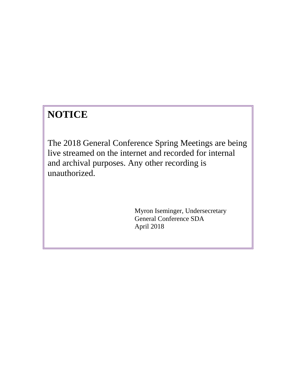# **NOTICE**

The 2018 General Conference Spring Meetings are being live streamed on the internet and recorded for internal and archival purposes. Any other recording is unauthorized.

> Myron Iseminger, Undersecretary General Conference SDA April 2018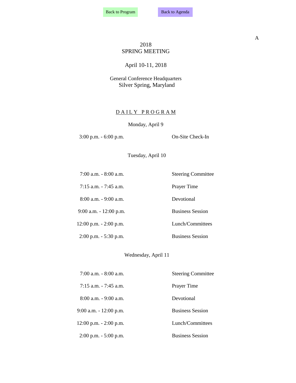#### April 10-11, 2018

General Conference Headquarters Silver Spring, Maryland

#### D A I L Y P R O G R A M

Monday, April 9

3:00 p.m. - 6:00 p.m. On-Site Check-In

Tuesday, April 10

| $7:00$ a.m. $-8:00$ a.m.  | <b>Steering Committee</b> |
|---------------------------|---------------------------|
| $7:15$ a.m. $-7:45$ a.m.  | Prayer Time               |
| $8:00$ a.m. $-9:00$ a.m.  | Devotional                |
| $9:00$ a.m. $-12:00$ p.m. | <b>Business Session</b>   |
| $12:00$ p.m. $-2:00$ p.m. | Lunch/Committees          |
| $2:00$ p.m. $-5:30$ p.m.  | <b>Business Session</b>   |

Wednesday, April 11

| $7:00$ a.m. $-8:00$ a.m.   | <b>Steering Committee</b> |
|----------------------------|---------------------------|
| 7:15 a.m. - 7:45 a.m.      | Prayer Time               |
| $8:00$ a.m. $-9:00$ a.m.   | Devotional                |
| $9:00$ a.m. $-12:00$ p.m.  | <b>Business Session</b>   |
| $12:00$ p.m. $- 2:00$ p.m. | Lunch/Committees          |
| $2:00$ p.m. $-5:00$ p.m.   | <b>Business Session</b>   |

A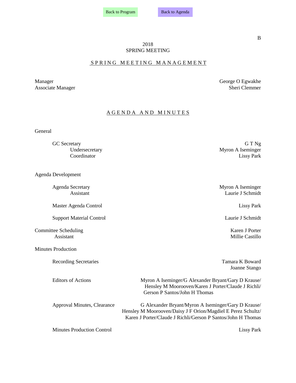#### SPRING MEETING MANAGEMENT

Manager George O Egwakhe Associate Manager Sheri Clemmer

#### A G E N D A A N D M I N U T E S

General

GC Secretary G T Ng

Agenda Development

Master Agenda Control Lissy Park

Support Material Control **Laurie J Schmidt** 

Committee Scheduling Karen J Porter

#### Minutes Production

Recording Secretaries Tamara K Boward

Editors of Actions Myron A Iseminger/G Alexander Bryant/Gary D Krause/

Approval Minutes, Clearance G Alexander Bryant/Myron A Iseminger/Gary D Krause/ Hensley M Moorooven/Daisy J F Orion/Magdiel E Perez Schultz/ Karen J Porter/Claude J Richli/Gerson P Santos/John H Thomas

Gerson P Santos/John H Thomas

Hensley M Moorooven/Karen J Porter/Claude J Richli/

Minutes Production Control **Lissy Park** 

Undersecretary Myron A Iseminger Coordinator Lissy Park

Agenda Secretary Myron A Iseminger Assistant Laurie J Schmidt

Assistant Millie Castillo

Joanne Stango

B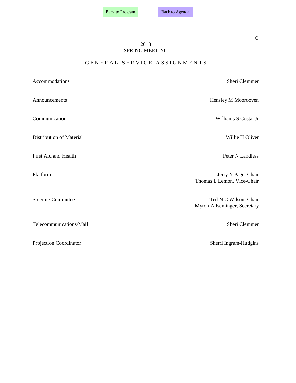#### GENERAL SERVICE ASSIGNMENTS

| Accommodations            | Sheri Clemmer                                         |
|---------------------------|-------------------------------------------------------|
| Announcements             | Hensley M Moorooven                                   |
| Communication             | Williams S Costa, Jr                                  |
| Distribution of Material  | Willie H Oliver                                       |
| First Aid and Health      | Peter N Landless                                      |
| Platform                  | Jerry N Page, Chair<br>Thomas L Lemon, Vice-Chair     |
| <b>Steering Committee</b> | Ted N C Wilson, Chair<br>Myron A Iseminger, Secretary |
| Telecommunications/Mail   | Sheri Clemmer                                         |
| Projection Coordinator    | Sherri Ingram-Hudgins                                 |

C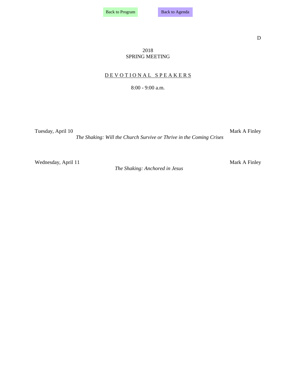$\mathbf D$ 

#### 2018 SPRING MEETING

#### D E V O T I O N A L S P E A K E R S

8:00 - 9:00 a.m.

Tuesday, April 10 Mark A Finley

*The Shaking: Will the Church Survive or Thrive in the Coming Crises*

Wednesday, April 11 Mark A Finley

*The Shaking: Anchored in Jesus*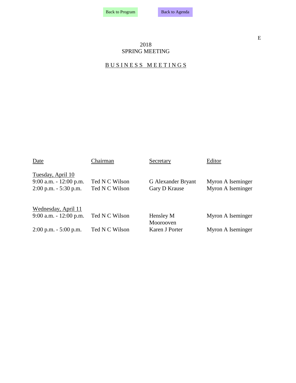### BUSINESS MEETINGS

| Date                                                                       | Chairman                         | Secretary                           | Editor                                 |
|----------------------------------------------------------------------------|----------------------------------|-------------------------------------|----------------------------------------|
| Tuesday, April 10<br>$9:00$ a.m. $-12:00$ p.m.<br>$2:00$ p.m. $-5:30$ p.m. | Ted N C Wilson<br>Ted N C Wilson | G Alexander Bryant<br>Gary D Krause | Myron A Iseminger<br>Myron A Iseminger |
| Wednesday, April 11<br>$9:00$ a.m. $-12:00$ p.m.                           | Ted N C Wilson                   | Hensley M                           | Myron A Iseminger                      |
| $2:00$ p.m. $-5:00$ p.m.                                                   | Ted N C Wilson                   | Moorooven<br>Karen J Porter         | Myron A Iseminger                      |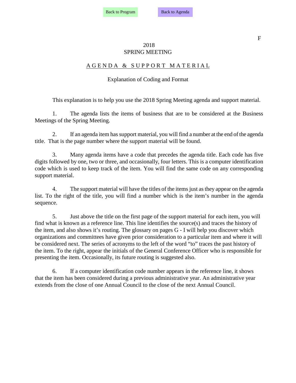#### A GENDA & SUPPORT MATERIAL

#### Explanation of Coding and Format

This explanation is to help you use the 2018 Spring Meeting agenda and support material.

1. The agenda lists the items of business that are to be considered at the Business Meetings of the Spring Meeting.

2. If an agenda item has support material, you will find a number at the end of the agenda title. That is the page number where the support material will be found.

3. Many agenda items have a code that precedes the agenda title. Each code has five digits followed by one, two or three, and occasionally, four letters. This is a computer identification code which is used to keep track of the item. You will find the same code on any corresponding support material.

4. The support material will have the titles of the items just as they appear on the agenda list. To the right of the title, you will find a number which is the item's number in the agenda sequence.

5. Just above the title on the first page of the support material for each item, you will find what is known as a reference line. This line identifies the source(s) and traces the history of the item, and also shows it's routing. The glossary on pages G - I will help you discover which organizations and committees have given prior consideration to a particular item and where it will be considered next. The series of acronyms to the left of the word "to" traces the past history of the item. To the right, appear the initials of the General Conference Officer who is responsible for presenting the item. Occasionally, its future routing is suggested also.

6. If a computer identification code number appears in the reference line, it shows that the item has been considered during a previous administrative year. An administrative year extends from the close of one Annual Council to the close of the next Annual Council.

F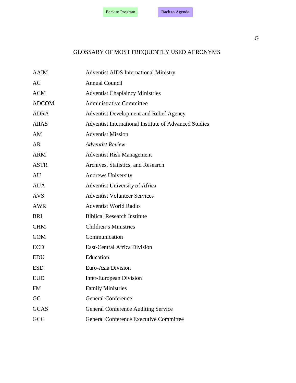#### GLOSSARY OF MOST FREQUENTLY USED ACRONYMS

| <b>AAIM</b>  | <b>Adventist AIDS International Ministry</b>          |
|--------------|-------------------------------------------------------|
| <b>AC</b>    | <b>Annual Council</b>                                 |
| <b>ACM</b>   | <b>Adventist Chaplaincy Ministries</b>                |
| <b>ADCOM</b> | <b>Administrative Committee</b>                       |
| <b>ADRA</b>  | <b>Adventist Development and Relief Agency</b>        |
| <b>AIIAS</b> | Adventist International Institute of Advanced Studies |
| AM           | <b>Adventist Mission</b>                              |
| <b>AR</b>    | <b>Adventist Review</b>                               |
| <b>ARM</b>   | <b>Adventist Risk Management</b>                      |
| <b>ASTR</b>  | Archives, Statistics, and Research                    |
| AU           | <b>Andrews University</b>                             |
| <b>AUA</b>   | <b>Adventist University of Africa</b>                 |
| <b>AVS</b>   | <b>Adventist Volunteer Services</b>                   |
| <b>AWR</b>   | <b>Adventist World Radio</b>                          |
| <b>BRI</b>   | <b>Biblical Research Institute</b>                    |
| <b>CHM</b>   | <b>Children's Ministries</b>                          |
| <b>COM</b>   | Communication                                         |
| <b>ECD</b>   | <b>East-Central Africa Division</b>                   |
| <b>EDU</b>   | Education                                             |
| <b>ESD</b>   | Euro-Asia Division                                    |
| <b>EUD</b>   | <b>Inter-European Division</b>                        |
| <b>FM</b>    | <b>Family Ministries</b>                              |
| GC           | <b>General Conference</b>                             |
| <b>GCAS</b>  | <b>General Conference Auditing Service</b>            |
| GCC          | <b>General Conference Executive Committee</b>         |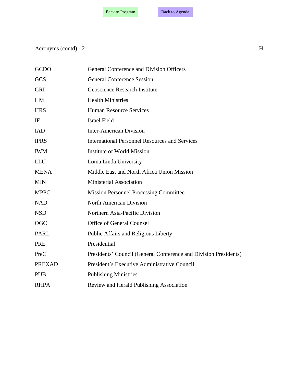Acronyms (contd) - 2 H

| <b>GCDO</b>   | General Conference and Division Officers                         |
|---------------|------------------------------------------------------------------|
| <b>GCS</b>    | <b>General Conference Session</b>                                |
| <b>GRI</b>    | Geoscience Research Institute                                    |
| HM            | <b>Health Ministries</b>                                         |
| <b>HRS</b>    | <b>Human Resource Services</b>                                   |
| IF            | <b>Israel Field</b>                                              |
| <b>IAD</b>    | <b>Inter-American Division</b>                                   |
| <b>IPRS</b>   | <b>International Personnel Resources and Services</b>            |
| <b>IWM</b>    | <b>Institute of World Mission</b>                                |
| <b>LLU</b>    | Loma Linda University                                            |
| <b>MENA</b>   | Middle East and North Africa Union Mission                       |
| <b>MIN</b>    | <b>Ministerial Association</b>                                   |
| <b>MPPC</b>   | <b>Mission Personnel Processing Committee</b>                    |
| <b>NAD</b>    | <b>North American Division</b>                                   |
| <b>NSD</b>    | Northern Asia-Pacific Division                                   |
| <b>OGC</b>    | <b>Office of General Counsel</b>                                 |
| PARL          | Public Affairs and Religious Liberty                             |
| <b>PRE</b>    | Presidential                                                     |
| PreC          | Presidents' Council (General Conference and Division Presidents) |
| <b>PREXAD</b> | President's Executive Administrative Council                     |
| <b>PUB</b>    | <b>Publishing Ministries</b>                                     |
| <b>RHPA</b>   | Review and Herald Publishing Association                         |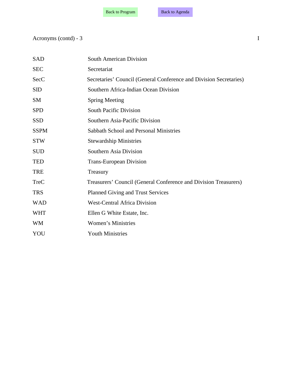Acronyms (contd) - 3 I

| <b>SAD</b>  | <b>South American Division</b>                                     |
|-------------|--------------------------------------------------------------------|
| <b>SEC</b>  | Secretariat                                                        |
| SecC        | Secretaries' Council (General Conference and Division Secretaries) |
| <b>SID</b>  | Southern Africa-Indian Ocean Division                              |
| <b>SM</b>   | <b>Spring Meeting</b>                                              |
| <b>SPD</b>  | <b>South Pacific Division</b>                                      |
| SSD         | Southern Asia-Pacific Division                                     |
| <b>SSPM</b> | Sabbath School and Personal Ministries                             |
| <b>STW</b>  | <b>Stewardship Ministries</b>                                      |
| <b>SUD</b>  | Southern Asia Division                                             |
| <b>TED</b>  | <b>Trans-European Division</b>                                     |
| <b>TRE</b>  | Treasury                                                           |
| <b>TreC</b> | Treasurers' Council (General Conference and Division Treasurers)   |
| <b>TRS</b>  | Planned Giving and Trust Services                                  |
| <b>WAD</b>  | <b>West-Central Africa Division</b>                                |
| <b>WHT</b>  | Ellen G White Estate, Inc.                                         |
| WM          | Women's Ministries                                                 |
| YOU         | <b>Youth Ministries</b>                                            |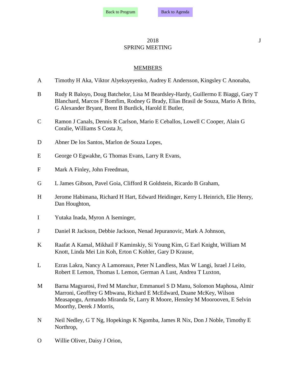#### **MEMBERS**

- A Timothy H Aka, Viktor Alyeksyeyenko, Audrey E Andersson, Kingsley C Anonaba,
- B Rudy R Baloyo, Doug Batchelor, Lisa M Beardsley-Hardy, Guillermo E Biaggi, Gary T Blanchard, Marcos F Bomfim, Rodney G Brady, Elias Brasil de Souza, Mario A Brito, G Alexander Bryant, Brent B Burdick, Harold E Butler,
- C Ramon J Canals, Dennis R Carlson, Mario E Ceballos, Lowell C Cooper, Alain G Coralie, Williams S Costa Jr,
- D Abner De los Santos, Marlon de Souza Lopes,
- E George O Egwakhe, G Thomas Evans, Larry R Evans,
- F Mark A Finley, John Freedman,
- G L James Gibson, Pavel Goia, Clifford R Goldstein, Ricardo B Graham,
- H Jerome Habimana, Richard H Hart, Edward Heidinger, Kerry L Heinrich, Elie Henry, Dan Houghton,
- I Yutaka Inada, Myron A Iseminger,
- J Daniel R Jackson, Debbie Jackson, Nenad Jepuranovic, Mark A Johnson,
- K Raafat A Kamal, Mikhail F Kaminskiy, Si Young Kim, G Earl Knight, William M Knott, Linda Mei Lin Koh, Erton C Kohler, Gary D Krause,
- L Ezras Lakra, Nancy A Lamoreaux, Peter N Landless, Max W Langi, Israel J Leito, Robert E Lemon, Thomas L Lemon, German A Lust, Andrea T Luxton,
- M Barna Magyarosi, Fred M Manchur, Emmanuel S D Manu, Solomon Maphosa, Almir Marroni, Geoffrey G Mbwana, Richard E McEdward, Duane McKey, Wilson Measapogu, Armando Miranda Sr, Larry R Moore, Hensley M Moorooven, E Selvin Moorthy, Derek J Morris,
- N Neil Nedley, G T Ng, Hopekings K Ngomba, James R Nix, Don J Noble, Timothy E Northrop,
- O Willie Oliver, Daisy J Orion,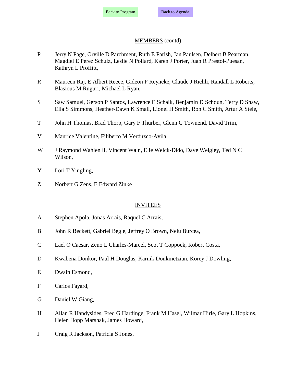#### MEMBERS (contd)

- P Jerry N Page, Orville D Parchment, Ruth E Parish, Jan Paulsen, Delbert B Pearman, Magdiel E Perez Schulz, Leslie N Pollard, Karen J Porter, Juan R Prestol-Puesan, Kathryn L Proffitt,
- R Maureen Raj, E Albert Reece, Gideon P Reyneke, Claude J Richli, Randall L Roberts, Blasious M Ruguri, Michael L Ryan,
- S Saw Samuel, Gerson P Santos, Lawrence E Schalk, Benjamin D Schoun, Terry D Shaw, Ella S Simmons, Heather-Dawn K Small, Lionel H Smith, Ron C Smith, Artur A Stele,
- T John H Thomas, Brad Thorp, Gary F Thurber, Glenn C Townend, David Trim,
- V Maurice Valentine, Filiberto M Verduzco-Avila,
- W J Raymond Wahlen II, Vincent Waln, Elie Weick-Dido, Dave Weigley, Ted N C Wilson,
- Y Lori T Yingling,
- Z Norbert G Zens, E Edward Zinke

#### INVITEES

- A Stephen Apola, Jonas Arrais, Raquel C Arrais,
- B John R Beckett, Gabriel Begle, Jeffrey O Brown, Nelu Burcea,
- C Lael O Caesar, Zeno L Charles-Marcel, Scot T Coppock, Robert Costa,
- D Kwabena Donkor, Paul H Douglas, Karnik Doukmetzian, Korey J Dowling,
- E Dwain Esmond,
- F Carlos Fayard,
- G Daniel W Giang,
- H Allan R Handysides, Fred G Hardinge, Frank M Hasel, Wilmar Hirle, Gary L Hopkins, Helen Hopp Marshak, James Howard,
- J Craig R Jackson, Patricia S Jones,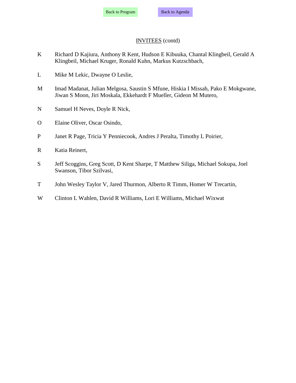#### INVITEES (contd)

- K Richard D Kajiura, Anthony R Kent, Hudson E Kibuuka, Chantal Klingbeil, Gerald A Klingbeil, Michael Kruger, Ronald Kuhn, Markus Kutzschbach,
- L Mike M Lekic, Dwayne O Leslie,
- M Imad Madanat, Julian Melgosa, Saustin S Mfune, Hiskia I Missah, Pako E Mokgwane, Jiwan S Moon, Jiri Moskala, Ekkehardt F Mueller, Gideon M Mutero,
- N Samuel H Neves, Doyle R Nick,
- O Elaine Oliver, Oscar Osindo,
- P Janet R Page, Tricia Y Penniecook, Andres J Peralta, Timothy L Poirier,
- R Katia Reinert,
- S Jeff Scoggins, Greg Scott, D Kent Sharpe, T Matthew Siliga, Michael Sokupa, Joel Swanson, Tibor Szilvasi,
- T John Wesley Taylor V, Jared Thurmon, Alberto R Timm, Homer W Trecartin,
- W Clinton L Wahlen, David R Williams, Lori E Williams, Michael Wixwat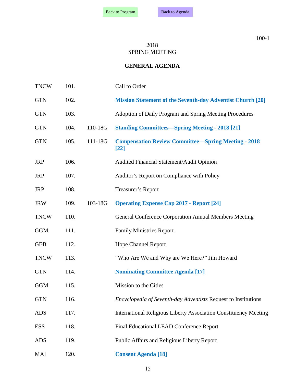#### **GENERAL AGENDA**

| <b>TNCW</b> | 101. |         | Call to Order                                                         |
|-------------|------|---------|-----------------------------------------------------------------------|
| <b>GTN</b>  | 102. |         | <b>Mission Statement of the Seventh-day Adventist Church [20]</b>     |
| <b>GTN</b>  | 103. |         | Adoption of Daily Program and Spring Meeting Procedures               |
| <b>GTN</b>  | 104. | 110-18G | <b>Standing Committees—Spring Meeting - 2018 [21]</b>                 |
| <b>GTN</b>  | 105. | 111-18G | <b>Compensation Review Committee—Spring Meeting - 2018</b><br>$[22]$  |
| <b>JRP</b>  | 106. |         | Audited Financial Statement/Audit Opinion                             |
| <b>JRP</b>  | 107. |         | Auditor's Report on Compliance with Policy                            |
| <b>JRP</b>  | 108. |         | Treasurer's Report                                                    |
| <b>JRW</b>  | 109. | 103-18G | <b>Operating Expense Cap 2017 - Report [24]</b>                       |
| <b>TNCW</b> | 110. |         | General Conference Corporation Annual Members Meeting                 |
| <b>GGM</b>  | 111. |         | <b>Family Ministries Report</b>                                       |
| <b>GEB</b>  | 112. |         | <b>Hope Channel Report</b>                                            |
| <b>TNCW</b> | 113. |         | "Who Are We and Why are We Here?" Jim Howard                          |
| <b>GTN</b>  | 114. |         | <b>Nominating Committee Agenda [17]</b>                               |
| <b>GGM</b>  | 115. |         | Mission to the Cities                                                 |
| <b>GTN</b>  | 116. |         | <i>Encyclopedia of Seventh-day Adventists Request to Institutions</i> |
| <b>ADS</b>  | 117. |         | International Religious Liberty Association Constituency Meeting      |
| <b>ESS</b>  | 118. |         | Final Educational LEAD Conference Report                              |
| <b>ADS</b>  | 119. |         | Public Affairs and Religious Liberty Report                           |
| <b>MAI</b>  | 120. |         | <b>Consent Agenda</b> [18]                                            |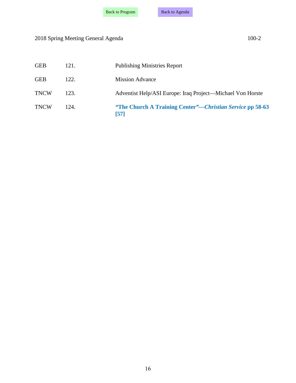## 2018 Spring Meeting General Agenda 100-2

| <b>GEB</b>  | 121. | <b>Publishing Ministries Report</b>                               |
|-------------|------|-------------------------------------------------------------------|
| <b>GEB</b>  | 122. | <b>Mission Advance</b>                                            |
| <b>TNCW</b> | 123. | Adventist Help/ASI Europe: Iraq Project—Michael Von Horste        |
| <b>TNCW</b> | 124. | "The Church A Training Center"—Christian Service pp 58-63<br>[57] |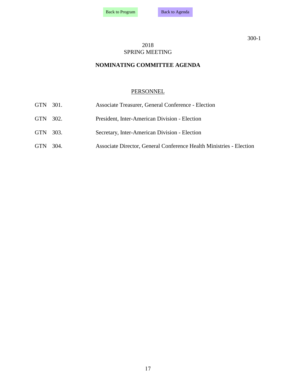300-1

#### 2018 SPRING MEETING

#### **NOMINATING COMMITTEE AGENDA**

#### **PERSONNEL**

<span id="page-16-0"></span>

| GTN 301. | Associate Treasurer, General Conference - Election |
|----------|----------------------------------------------------|
|          |                                                    |

- GTN 302. President, Inter-American Division Election
- GTN 303. Secretary, Inter-American Division Election
- GTN 304. Associate Director, General Conference Health Ministries Election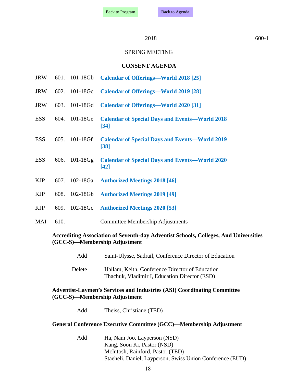#### **CONSENT AGENDA**

<span id="page-17-0"></span>

| <b>JRW</b> |      | 601. 101-18Gb | <b>Calendar of Offerings—World 2018 [25]</b>                    |
|------------|------|---------------|-----------------------------------------------------------------|
| <b>JRW</b> | 602. | $101-18$ Gc   | <b>Calendar of Offerings—World 2019 [28]</b>                    |
| <b>JRW</b> | 603. | $101-18Gd$    | <b>Calendar of Offerings—World 2020 [31]</b>                    |
| <b>ESS</b> | 604. | $101 - 18$ Ge | <b>Calendar of Special Days and Events—World 2018</b><br>$[34]$ |
| <b>ESS</b> | 605. | $101-18$ Gf   | <b>Calendar of Special Days and Events—World 2019</b><br>[38]   |
| <b>ESS</b> | 606. | $101-18$ Gg   | <b>Calendar of Special Days and Events-World 2020</b><br>[42]   |
| <b>KJP</b> | 607. | $102-18$ Ga   | <b>Authorized Meetings 2018 [46]</b>                            |
| <b>KJP</b> | 608. | $102-18Gb$    | <b>Authorized Meetings 2019 [49]</b>                            |
| <b>KJP</b> | 609. | $102-18$ Gc   | <b>Authorized Meetings 2020 [53]</b>                            |
| <b>MAI</b> | 610. |               | <b>Committee Membership Adjustments</b>                         |

#### **Accrediting Association of Seventh-day Adventist Schools, Colleges, And Universities (GCC-S)—Membership Adjustment**

- Add Saint-Ulysse, Sadrail, Conference Director of Education
- Delete Hallam, Keith, Conference Director of Education Thachuk, Vladimir I, Education Director (ESD)

#### **Adventist-Laymen's Services and Industries (ASI) Coordinating Committee (GCC-S)—Membership Adjustment**

Add Theiss, Christiane (TED)

#### **General Conference Executive Committee (GCC)—Membership Adjustment**

Add Ha, Nam Joo, Layperson (NSD) Kang, Soon Ki, Pastor (NSD) McIntosh, Rainford, Pastor (TED) Staeheli, Daniel, Layperson, Swiss Union Conference (EUD)

2018 600-1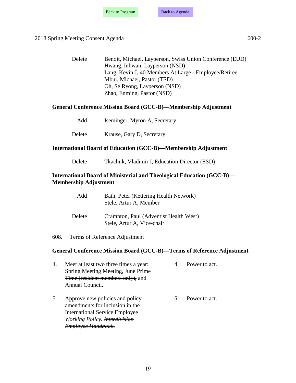#### 2018 Spring Meeting Consent Agenda 600-2

| Delete                       | Benoit, Michael, Layperson, Swiss Union Conference (EUD)<br>Hwang, Inhwan, Layperson (NSD)<br>Lang, Kevin J, 40 Members At Large - Employee/Retiree<br>Mbui, Michael, Pastor (TED)<br>Oh, Se Ryong, Layperson (NSD)<br>Zhao, Enming, Pastor (NSD) |
|------------------------------|---------------------------------------------------------------------------------------------------------------------------------------------------------------------------------------------------------------------------------------------------|
|                              | General Conference Mission Board (GCC-B)—Membership Adjustment                                                                                                                                                                                    |
| Add                          | Iseminger, Myron A, Secretary                                                                                                                                                                                                                     |
| Delete                       | Krause, Gary D, Secretary                                                                                                                                                                                                                         |
|                              | <b>International Board of Education (GCC-B)—Membership Adjustment</b>                                                                                                                                                                             |
| Delete                       | Tkachuk, Vladimir I, Education Director (ESD)                                                                                                                                                                                                     |
| <b>Membership Adjustment</b> | <b>International Board of Ministerial and Theological Education (GCC-B)—</b>                                                                                                                                                                      |
| Add                          | Bath, Peter (Kettering Health Network)<br>Stele, Artur A, Member                                                                                                                                                                                  |
| Delete                       | Crampton, Paul (Adventist Health West)                                                                                                                                                                                                            |

608. Terms of Reference Adjustment

#### **General Conference Mission Board (GCC-B)—Terms of Reference Adjustment**

4. Meet at least two three times a year: Spring Meeting Meeting, June Prime Time (resident members only), and Annual Council. 4. Power to act.

Stele, Artur A, Vice-chair

- 5. Approve new policies and policy amendments for inclusion in the International Service Employee *Working Policy. Interdivision Employee Handbook*.
- - 5. Power to act.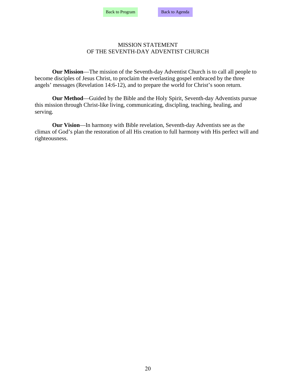#### MISSION STATEMENT OF THE SEVENTH-DAY ADVENTIST CHURCH

<span id="page-19-0"></span>**Our Mission**—The mission of the Seventh-day Adventist Church is to call all people to become disciples of Jesus Christ, to proclaim the everlasting gospel embraced by the three angels' messages (Revelation 14:6-12), and to prepare the world for Christ's soon return.

**Our Method**—Guided by the Bible and the Holy Spirit, Seventh-day Adventists pursue this mission through Christ-like living, communicating, discipling, teaching, healing, and serving.

**Our Vision**—In harmony with Bible revelation, Seventh-day Adventists see as the climax of God's plan the restoration of all His creation to full harmony with His perfect will and righteousness.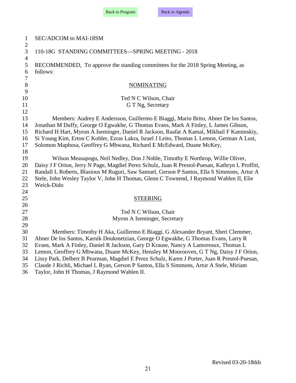<span id="page-20-0"></span>

| $\mathbf{1}$<br>$\boldsymbol{2}$ | SEC/ADCOM to MAI-18SM                                                                           |
|----------------------------------|-------------------------------------------------------------------------------------------------|
| 3                                | 110-18G STANDING COMMITTEES-SPRING MEETING - 2018                                               |
| $\overline{4}$<br>5              | RECOMMENDED, To approve the standing committees for the 2018 Spring Meeting, as                 |
| 6                                | follows:                                                                                        |
| $\boldsymbol{7}$                 |                                                                                                 |
| $8\,$                            | <b>NOMINATING</b>                                                                               |
| 9<br>10                          | Ted N C Wilson, Chair                                                                           |
| 11                               |                                                                                                 |
| 12                               | G T Ng, Secretary                                                                               |
| 13                               | Members: Audrey E Andersson, Guillermo E Biaggi, Mario Brito, Abner De los Santos,              |
| 14                               | Jonathan M Duffy, George O Egwakhe, G Thomas Evans, Mark A Finley, L James Gibson,              |
| 15                               | Richard H Hart, Myron A Iseminger, Daniel R Jackson, Raafat A Kamal, Mikhail F Kaminskiy,       |
| 16                               | Si Young Kim, Erton C Kohler, Ezras Lakra, Israel J Leito, Thomas L Lemon, German A Lust,       |
| 17                               | Solomon Maphosa, Geoffrey G Mbwana, Richard E McEdward, Duane McKey,                            |
| 18                               |                                                                                                 |
| 19                               | Wilson Measapogu, Neil Nedley, Don J Noble, Timothy E Northrop, Willie Oliver,                  |
| 20                               | Daisy J F Orion, Jerry N Page, Magdiel Perez Schulz, Juan R Prestol-Puesan, Kathryn L Proffitt, |
| 21                               | Randall L Roberts, Blasious M Ruguri, Saw Samuel, Gerson P Santos, Ella S Simmons, Artur A      |
| 22                               | Stele, John Wesley Taylor V, John H Thomas, Glenn C Townend, J Raymond Wahlen II, Elie          |
| 23                               | Weick-Dido                                                                                      |
| 24                               |                                                                                                 |
| 25                               | <b>STEERING</b>                                                                                 |
| 26                               |                                                                                                 |
| 27                               | Ted N C Wilson, Chair                                                                           |
| 28<br>29                         | Myron A Iseminger, Secretary                                                                    |
| 30                               | Members: Timothy H Aka, Guillermo E Biaggi, G Alexander Bryant, Sheri Clemmer,                  |
| 31                               | Abner De los Santos, Karnik Doukmetzian, George O Egwakhe, G Thomas Evans, Larry R              |
| 32                               | Evans, Mark A Finley, Daniel R Jackson, Gary D Krause, Nancy A Lamoreaux, Thomas L              |
| 33                               | Lemon, Geoffrey G Mbwana, Duane McKey, Hensley M Moorooven, G T Ng, Daisy J F Orion,            |
| 34                               | Lissy Park, Delbert B Pearman, Magdiel E Perez Schulz, Karen J Porter, Juan R Prestol-Puesan,   |
| 35                               | Claude J Richli, Michael L Ryan, Gerson P Santos, Ella S Simmons, Artur A Stele, Miriam         |

36 Taylor, John H Thomas, J Raymond Wahlen II.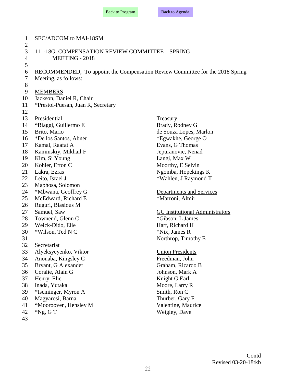<span id="page-21-0"></span>

| $\mathbf{1}$             | SEC/ADCOM to MAI-18SM                                                                                 |                                        |  |  |
|--------------------------|-------------------------------------------------------------------------------------------------------|----------------------------------------|--|--|
| $\overline{c}$<br>3<br>4 | 111-18G COMPENSATION REVIEW COMMITTEE-SPRING<br>MEETING - 2018                                        |                                        |  |  |
| 5<br>6<br>7<br>$8\,$     | RECOMMENDED, To appoint the Compensation Review Committee for the 2018 Spring<br>Meeting, as follows: |                                        |  |  |
| 9                        | <b>MEMBERS</b>                                                                                        |                                        |  |  |
| 10                       | Jackson, Daniel R, Chair                                                                              |                                        |  |  |
| 11                       | *Prestol-Puesan, Juan R, Secretary                                                                    |                                        |  |  |
| 12                       |                                                                                                       |                                        |  |  |
| 13                       | Presidential                                                                                          | <b>Treasury</b>                        |  |  |
| 14                       | *Biaggi, Guillermo E                                                                                  | Brady, Rodney G                        |  |  |
| 15                       | Brito, Mario                                                                                          | de Souza Lopes, Marlon                 |  |  |
| 16                       | *De los Santos, Abner                                                                                 | *Egwakhe, George O                     |  |  |
| 17                       | Kamal, Raafat A                                                                                       | Evans, G Thomas                        |  |  |
| 18                       | Kaminskiy, Mikhail F                                                                                  | Jepuranovic, Nenad                     |  |  |
| 19                       | Kim, Si Young                                                                                         | Langi, Max W                           |  |  |
| 20                       | Kohler, Erton C                                                                                       | Moorthy, E Selvin                      |  |  |
| 21                       | Lakra, Ezras                                                                                          | Ngomba, Hopekings K                    |  |  |
| 22                       | Leito, Israel J                                                                                       | *Wahlen, J Raymond II                  |  |  |
| 23                       | Maphosa, Solomon                                                                                      |                                        |  |  |
| 24                       | *Mbwana, Geoffrey G                                                                                   | Departments and Services               |  |  |
| 25                       | McEdward, Richard E                                                                                   | *Marroni, Almir                        |  |  |
| 26                       | Ruguri, Blasious M                                                                                    |                                        |  |  |
| 27                       | Samuel, Saw                                                                                           | <b>GC</b> Institutional Administrators |  |  |
| 28                       | Townend, Glenn C                                                                                      | *Gibson, L James                       |  |  |
| 29                       | Weick-Dido, Elie                                                                                      | Hart, Richard H                        |  |  |
| 30                       | *Wilson, Ted N C                                                                                      | *Nix, James R                          |  |  |
| 31                       | Northrop, Timothy E                                                                                   |                                        |  |  |
| 32                       | Secretariat                                                                                           |                                        |  |  |
| 33                       | Alyeksyeyenko, Viktor                                                                                 | <b>Union Presidents</b>                |  |  |
| 34                       | Anonaba, Kingsley C                                                                                   | Freedman, John                         |  |  |
| 35                       | Bryant, G Alexander                                                                                   | Graham, Ricardo B                      |  |  |
| 36                       | Coralie, Alain G                                                                                      | Johnson, Mark A                        |  |  |
| 37                       | Henry, Elie                                                                                           | Knight G Earl                          |  |  |
| 38                       | Inada, Yutaka                                                                                         | Moore, Larry R                         |  |  |
| 39                       | *Iseminger, Myron A                                                                                   | Smith, Ron C                           |  |  |
| 40                       | Magyarosi, Barna                                                                                      | Thurber, Gary F                        |  |  |
| 41                       | *Moorooven, Hensley M                                                                                 | Valentine, Maurice                     |  |  |
| 42                       | $*Ng$ , GT                                                                                            | Weigley, Dave                          |  |  |
| 43                       |                                                                                                       |                                        |  |  |
|                          |                                                                                                       |                                        |  |  |
|                          |                                                                                                       |                                        |  |  |
|                          |                                                                                                       |                                        |  |  |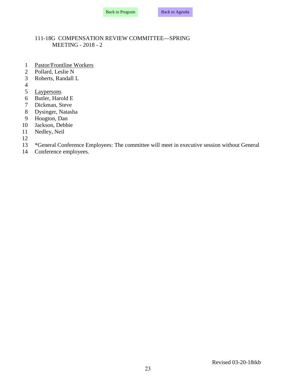#### 111-18G COMPENSATION REVIEW COMMITTEE—SPRING MEETING - 2018 - 2

- 1 Pastor/Frontline Workers
- 2 Pollard, Leslie N
- 3 Roberts, Randall L
- $\frac{4}{5}$
- **Laypersons**
- 6 Butler, Harold E
- 7 Dickman, Steve
- 8 Dysinger, Natasha
- 9 Hougton, Dan
- 10 Jackson, Debbie
- 11 Nedley, Neil
- 12
- 13 \*General Conference Employees: The committee will meet in executive session without General
- 14 Conference employees.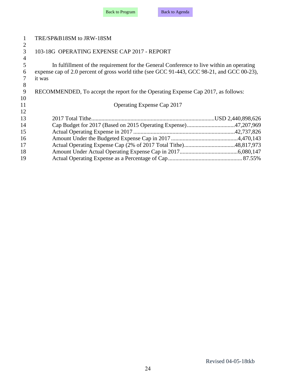<span id="page-23-0"></span>

|    | TRE/SP&B18SM to JRW-18SM                                                                    |
|----|---------------------------------------------------------------------------------------------|
| 2  |                                                                                             |
| 3  | 103-18G OPERATING EXPENSE CAP 2017 - REPORT                                                 |
| 4  |                                                                                             |
| 5  | In fulfillment of the requirement for the General Conference to live within an operating    |
| 6  | expense cap of 2.0 percent of gross world tithe (see GCC 91-443, GCC 98-21, and GCC 00-23), |
| 7  | it was                                                                                      |
| 8  |                                                                                             |
| 9  | RECOMMENDED, To accept the report for the Operating Expense Cap 2017, as follows:           |
| 10 |                                                                                             |
| 11 | <b>Operating Expense Cap 2017</b>                                                           |
| 12 |                                                                                             |
| 13 |                                                                                             |
| 14 |                                                                                             |
| 15 |                                                                                             |
| 16 |                                                                                             |
| 17 |                                                                                             |
| 18 |                                                                                             |
| 19 |                                                                                             |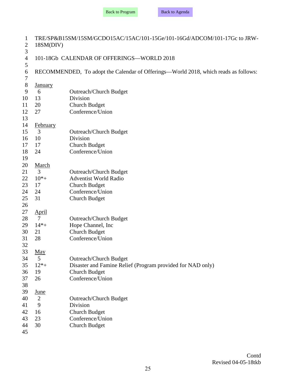<span id="page-24-0"></span>

| $\mathbf{1}$     | TRE/SP&B15SM/15SM/GCDO15AC/15AC/101-15Ge/101-16Gd/ADCOM/101-17Gc to JRW- |                                                                                     |  |  |  |
|------------------|--------------------------------------------------------------------------|-------------------------------------------------------------------------------------|--|--|--|
| 2                | 18SM(DIV)                                                                |                                                                                     |  |  |  |
| 3                |                                                                          |                                                                                     |  |  |  |
| $\overline{4}$   | 101-18Gb CALENDAR OF OFFERINGS-WORLD 2018                                |                                                                                     |  |  |  |
| 5                |                                                                          |                                                                                     |  |  |  |
| 6                |                                                                          | RECOMMENDED, To adopt the Calendar of Offerings—World 2018, which reads as follows: |  |  |  |
| $\boldsymbol{7}$ |                                                                          |                                                                                     |  |  |  |
| 8                | <b>January</b>                                                           |                                                                                     |  |  |  |
| 9                | 6                                                                        | <b>Outreach/Church Budget</b>                                                       |  |  |  |
| 10               | 13                                                                       | Division                                                                            |  |  |  |
| 11               | 20                                                                       | <b>Church Budget</b>                                                                |  |  |  |
| 12               | 27                                                                       | Conference/Union                                                                    |  |  |  |
| 13               |                                                                          |                                                                                     |  |  |  |
| 14               | <b>February</b>                                                          |                                                                                     |  |  |  |
| 15               | 3                                                                        | <b>Outreach/Church Budget</b>                                                       |  |  |  |
| 16               | 10                                                                       | Division                                                                            |  |  |  |
| 17               | 17                                                                       | <b>Church Budget</b>                                                                |  |  |  |
| 18               | 24                                                                       | Conference/Union                                                                    |  |  |  |
| 19               |                                                                          |                                                                                     |  |  |  |
| 20               | <b>March</b>                                                             |                                                                                     |  |  |  |
| 21               | 3                                                                        | <b>Outreach/Church Budget</b>                                                       |  |  |  |
| 22               | $10^{*}+$                                                                | <b>Adventist World Radio</b>                                                        |  |  |  |
| 23               | 17                                                                       | <b>Church Budget</b>                                                                |  |  |  |
| 24               | 24                                                                       | Conference/Union                                                                    |  |  |  |
| 25               | 31                                                                       | <b>Church Budget</b>                                                                |  |  |  |
| 26               |                                                                          |                                                                                     |  |  |  |
| 27               | <b>April</b>                                                             |                                                                                     |  |  |  |
| 28               | $\tau$                                                                   | <b>Outreach/Church Budget</b>                                                       |  |  |  |
| 29               | $14* +$                                                                  | Hope Channel, Inc                                                                   |  |  |  |
| 30               | 21                                                                       | <b>Church Budget</b>                                                                |  |  |  |
| 31               | 28                                                                       | Conference/Union                                                                    |  |  |  |
| 32               |                                                                          |                                                                                     |  |  |  |
| 33               | May                                                                      |                                                                                     |  |  |  |
| 34               | 5                                                                        | <b>Outreach/Church Budget</b>                                                       |  |  |  |
| 35               | $12*+$                                                                   | Disaster and Famine Relief (Program provided for NAD only)                          |  |  |  |
| 36               | 19                                                                       | <b>Church Budget</b>                                                                |  |  |  |
| 37               | 26                                                                       | Conference/Union                                                                    |  |  |  |
| 38               |                                                                          |                                                                                     |  |  |  |
| 39               | <u>June</u>                                                              |                                                                                     |  |  |  |
| 40               | $\mathfrak{2}$                                                           | <b>Outreach/Church Budget</b>                                                       |  |  |  |
| 41               | 9                                                                        | Division                                                                            |  |  |  |
| 42               | 16                                                                       | <b>Church Budget</b>                                                                |  |  |  |
| 43               | 23                                                                       | Conference/Union                                                                    |  |  |  |
| 44               | 30                                                                       | <b>Church Budget</b>                                                                |  |  |  |
| 45               |                                                                          |                                                                                     |  |  |  |
|                  |                                                                          |                                                                                     |  |  |  |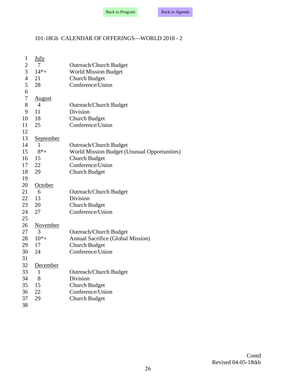### 101-18Gb CALENDAR OF OFFERINGS—WORLD 2018 - 2

| $\mathbf{1}$   | <u>July</u>      |                                              |
|----------------|------------------|----------------------------------------------|
| $\overline{c}$ | 7                | <b>Outreach/Church Budget</b>                |
| 3              | $14* +$          | <b>World Mission Budget</b>                  |
| $\overline{4}$ | 21               | <b>Church Budget</b>                         |
| 5              | 28               | Conference/Union                             |
| 6              |                  |                                              |
| 7              | <b>August</b>    |                                              |
| 8              | $\overline{4}$   | <b>Outreach/Church Budget</b>                |
| 9              | 11               | Division                                     |
| 10             | 18               | <b>Church Budget</b>                         |
| 11             | 25               | Conference/Union                             |
| 12             |                  |                                              |
| 13             | <b>September</b> |                                              |
| 14             | 1                | <b>Outreach/Church Budget</b>                |
| 15             | $8*+$            | World Mission Budget (Unusual Opportunities) |
| 16             | 15               | <b>Church Budget</b>                         |
| 17             | 22               | Conference/Union                             |
| 18             | 29               | <b>Church Budget</b>                         |
| 19             |                  |                                              |
| 20             | October          |                                              |
| 21             | 6                | <b>Outreach/Church Budget</b>                |
| 22             | 13               | Division                                     |
| 23             | 20               | <b>Church Budget</b>                         |
| 24             | 27               | Conference/Union                             |
| 25             |                  |                                              |
| 26             | <b>November</b>  |                                              |
| 27             | 3                | <b>Outreach/Church Budget</b>                |
| 28             | $10*+$           | Annual Sacrifice (Global Mission)            |
| 29             | 17               | <b>Church Budget</b>                         |
| 30             | 24               | Conference/Union                             |
| 31             |                  |                                              |
| 32             | December         |                                              |
| 33             | $\mathbf{1}$     | <b>Outreach/Church Budget</b>                |
| 34             | 8                | Division                                     |
| 35             | 15               | <b>Church Budget</b>                         |
| 36             | 22               | Conference/Union                             |
| 37             | 29               | <b>Church Budget</b>                         |
| 38             |                  |                                              |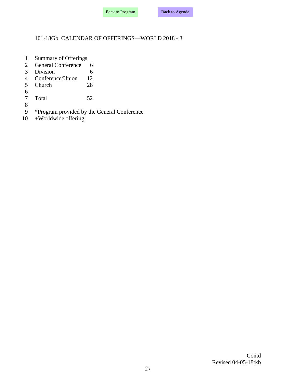#### 101-18Gb CALENDAR OF OFFERINGS—WORLD 2018 - 3

- 1 Summary of Offerings
- 2 General Conference 6
- 3 Division 6
- 4 Conference/Union 12
- 5 Church 28
- 6
	- Total 52
- 8
- 9 \*Program provided by the General Conference<br>10 +Worldwide offering
- +Worldwide offering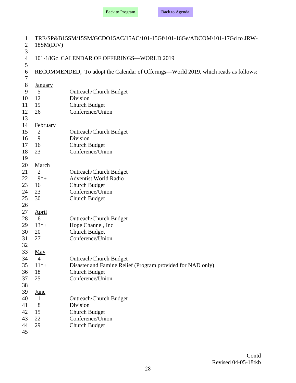<span id="page-27-0"></span>

| $\mathbf{1}$     | TRE/SP&B15SM/15SM/GCDO15AC/15AC/101-15Gf/101-16Ge/ADCOM/101-17Gd to JRW- |                                                                                     |  |  |  |
|------------------|--------------------------------------------------------------------------|-------------------------------------------------------------------------------------|--|--|--|
| 2                | 18SM(DIV)                                                                |                                                                                     |  |  |  |
| 3                |                                                                          |                                                                                     |  |  |  |
| $\overline{4}$   | 101-18Gc CALENDAR OF OFFERINGS-WORLD 2019                                |                                                                                     |  |  |  |
| 5                |                                                                          |                                                                                     |  |  |  |
| 6                |                                                                          | RECOMMENDED, To adopt the Calendar of Offerings—World 2019, which reads as follows: |  |  |  |
| $\boldsymbol{7}$ |                                                                          |                                                                                     |  |  |  |
| $8\,$            | <b>January</b>                                                           |                                                                                     |  |  |  |
| 9                | 5                                                                        | <b>Outreach/Church Budget</b>                                                       |  |  |  |
| 10               | 12                                                                       | Division                                                                            |  |  |  |
| 11               | 19                                                                       | <b>Church Budget</b>                                                                |  |  |  |
| 12               | 26                                                                       | Conference/Union                                                                    |  |  |  |
| 13               |                                                                          |                                                                                     |  |  |  |
| 14               | <b>February</b>                                                          |                                                                                     |  |  |  |
| 15               | $\mathfrak{2}$                                                           | <b>Outreach/Church Budget</b>                                                       |  |  |  |
| 16               | 9                                                                        | Division                                                                            |  |  |  |
| 17               | 16                                                                       | <b>Church Budget</b>                                                                |  |  |  |
| 18               | 23                                                                       | Conference/Union                                                                    |  |  |  |
| 19               |                                                                          |                                                                                     |  |  |  |
| 20               | March                                                                    |                                                                                     |  |  |  |
| 21               | 2                                                                        | <b>Outreach/Church Budget</b>                                                       |  |  |  |
| 22               | $9*+$                                                                    | <b>Adventist World Radio</b>                                                        |  |  |  |
| 23               | 16                                                                       | <b>Church Budget</b>                                                                |  |  |  |
| 24               | 23                                                                       | Conference/Union                                                                    |  |  |  |
| 25               | 30                                                                       | <b>Church Budget</b>                                                                |  |  |  |
| 26               |                                                                          |                                                                                     |  |  |  |
| 27               | <b>April</b>                                                             |                                                                                     |  |  |  |
| 28               | 6                                                                        | <b>Outreach/Church Budget</b>                                                       |  |  |  |
| 29               | $13*+$                                                                   | Hope Channel, Inc                                                                   |  |  |  |
| 30               | 20                                                                       | <b>Church Budget</b>                                                                |  |  |  |
| 31               | 27                                                                       | Conference/Union                                                                    |  |  |  |
| 32               |                                                                          |                                                                                     |  |  |  |
| 33               | May                                                                      |                                                                                     |  |  |  |
| 34               | $\overline{4}$                                                           | <b>Outreach/Church Budget</b>                                                       |  |  |  |
| 35               | $11* +$                                                                  | Disaster and Famine Relief (Program provided for NAD only)                          |  |  |  |
| 36               | 18                                                                       | <b>Church Budget</b>                                                                |  |  |  |
| 37               | 25                                                                       | Conference/Union                                                                    |  |  |  |
| 38               |                                                                          |                                                                                     |  |  |  |
| 39               | <u>June</u>                                                              |                                                                                     |  |  |  |
| 40               | $\mathbf{1}$                                                             | <b>Outreach/Church Budget</b>                                                       |  |  |  |
| 41               | 8                                                                        | Division                                                                            |  |  |  |
| 42               | 15                                                                       | <b>Church Budget</b>                                                                |  |  |  |
| 43               | 22                                                                       | Conference/Union                                                                    |  |  |  |
| 44               | 29                                                                       | <b>Church Budget</b>                                                                |  |  |  |
| 45               |                                                                          |                                                                                     |  |  |  |
|                  |                                                                          |                                                                                     |  |  |  |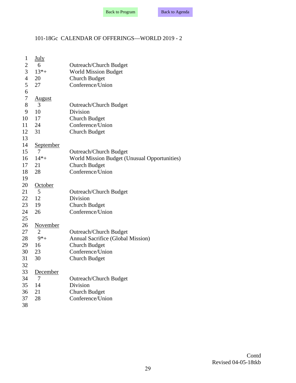### 101-18Gc CALENDAR OF OFFERINGS—WORLD 2019 - 2

| $\mathbf{1}$   | <u>July</u>      |                                              |
|----------------|------------------|----------------------------------------------|
| $\overline{c}$ | 6                | <b>Outreach/Church Budget</b>                |
| 3              | $13*+$           | <b>World Mission Budget</b>                  |
| $\overline{4}$ | 20               | <b>Church Budget</b>                         |
| 5              | 27               | Conference/Union                             |
| 6              |                  |                                              |
| 7              | <b>August</b>    |                                              |
| 8              | 3                | <b>Outreach/Church Budget</b>                |
| 9              | 10               | Division                                     |
| 10             | 17               | <b>Church Budget</b>                         |
| 11             | 24               | Conference/Union                             |
| 12             | 31               | <b>Church Budget</b>                         |
| 13             |                  |                                              |
| 14             | <u>September</u> |                                              |
| 15             | 7                | <b>Outreach/Church Budget</b>                |
| 16             | $14* +$          | World Mission Budget (Unusual Opportunities) |
| 17             | 21               | <b>Church Budget</b>                         |
| 18             | 28               | Conference/Union                             |
| 19             |                  |                                              |
| 20             | October          |                                              |
| 21             | 5                | <b>Outreach/Church Budget</b>                |
| 22             | 12               | Division                                     |
| 23             | 19               | <b>Church Budget</b>                         |
| 24             | 26               | Conference/Union                             |
| 25             |                  |                                              |
| 26             | <b>November</b>  |                                              |
| 27             | 2                | <b>Outreach/Church Budget</b>                |
| 28             | $9*+$            | Annual Sacrifice (Global Mission)            |
| 29             | 16               | <b>Church Budget</b>                         |
| 30             | 23               | Conference/Union                             |
| 31             | 30               | <b>Church Budget</b>                         |
| 32             |                  |                                              |
| 33             | December         |                                              |
| 34             | 7                | <b>Outreach/Church Budget</b>                |
| 35             | 14               | Division                                     |
| 36             | 21               | <b>Church Budget</b>                         |
| 37             | 28               | Conference/Union                             |
| 38             |                  |                                              |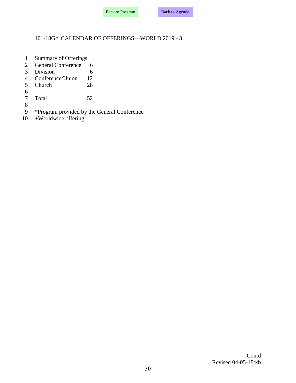#### 101-18Gc CALENDAR OF OFFERINGS—WORLD 2019 - 3

- 1 Summary of Offerings
- 2 General Conference 6
- 3 Division 6
- 4 Conference/Union 12
- 5 Church 28
- 6
	- Total 52
- 8
- 9 \*Program provided by the General Conference<br>10 +Worldwide offering
- +Worldwide offering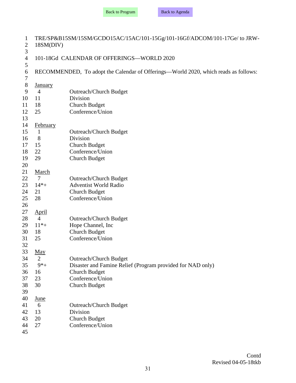<span id="page-30-0"></span>

| $\mathbf{1}$ | TRE/SP&B15SM/15SM/GCDO15AC/15AC/101-15Gg/101-16Gf/ADCOM/101-17Ge/ to JRW- |                                                                                     |  |  |  |
|--------------|---------------------------------------------------------------------------|-------------------------------------------------------------------------------------|--|--|--|
| 2            | 18SM(DIV)                                                                 |                                                                                     |  |  |  |
| 3            |                                                                           |                                                                                     |  |  |  |
| 4            | 101-18Gd CALENDAR OF OFFERINGS-WORLD 2020                                 |                                                                                     |  |  |  |
| 5            |                                                                           |                                                                                     |  |  |  |
| 6            |                                                                           | RECOMMENDED, To adopt the Calendar of Offerings—World 2020, which reads as follows: |  |  |  |
| 7            |                                                                           |                                                                                     |  |  |  |
| 8            | <b>January</b>                                                            |                                                                                     |  |  |  |
| 9            | $\overline{4}$                                                            | <b>Outreach/Church Budget</b>                                                       |  |  |  |
| 10           | 11                                                                        | Division                                                                            |  |  |  |
| 11           | 18                                                                        | <b>Church Budget</b>                                                                |  |  |  |
| 12           | 25                                                                        | Conference/Union                                                                    |  |  |  |
| 13           |                                                                           |                                                                                     |  |  |  |
| 14           | <b>February</b>                                                           |                                                                                     |  |  |  |
| 15           | $\mathbf{1}$                                                              | <b>Outreach/Church Budget</b>                                                       |  |  |  |
| 16           | 8                                                                         | Division                                                                            |  |  |  |
| 17           | 15                                                                        | <b>Church Budget</b>                                                                |  |  |  |
| 18           | 22                                                                        | Conference/Union                                                                    |  |  |  |
| 19           | 29                                                                        | <b>Church Budget</b>                                                                |  |  |  |
| 20           |                                                                           |                                                                                     |  |  |  |
| 21           | March                                                                     |                                                                                     |  |  |  |
| 22           | $\overline{7}$                                                            | <b>Outreach/Church Budget</b>                                                       |  |  |  |
| 23           | $14*+$                                                                    | <b>Adventist World Radio</b>                                                        |  |  |  |
| 24           | 21                                                                        | <b>Church Budget</b>                                                                |  |  |  |
| 25           | 28                                                                        | Conference/Union                                                                    |  |  |  |
| 26           |                                                                           |                                                                                     |  |  |  |
| 27           | <b>April</b>                                                              |                                                                                     |  |  |  |
| 28           | $\overline{4}$                                                            | <b>Outreach/Church Budget</b>                                                       |  |  |  |
| 29           | $11* +$                                                                   | Hope Channel, Inc                                                                   |  |  |  |
| 30           | 18                                                                        | <b>Church Budget</b>                                                                |  |  |  |
| 31           | 25                                                                        | Conference/Union                                                                    |  |  |  |
| 32           |                                                                           |                                                                                     |  |  |  |
| 33           | May                                                                       |                                                                                     |  |  |  |
| 34           | $\overline{2}$                                                            | <b>Outreach/Church Budget</b>                                                       |  |  |  |
| 35           | $9*$ +                                                                    | Disaster and Famine Relief (Program provided for NAD only)                          |  |  |  |
| 36           | 16                                                                        | <b>Church Budget</b>                                                                |  |  |  |
| 37           | 23                                                                        | Conference/Union                                                                    |  |  |  |
| 38           | 30                                                                        | <b>Church Budget</b>                                                                |  |  |  |
| 39           |                                                                           |                                                                                     |  |  |  |
| 40           | <u>June</u>                                                               |                                                                                     |  |  |  |
| 41           | 6                                                                         | <b>Outreach/Church Budget</b>                                                       |  |  |  |
| 42           | 13                                                                        | Division                                                                            |  |  |  |
| 43           | 20                                                                        | <b>Church Budget</b>                                                                |  |  |  |
| 44           | 27                                                                        | Conference/Union                                                                    |  |  |  |
| 45           |                                                                           |                                                                                     |  |  |  |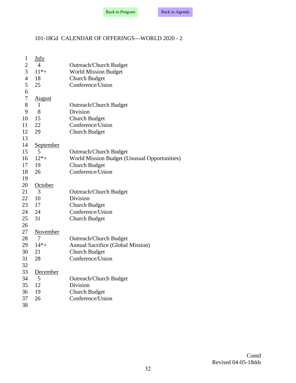### 101-18Gd CALENDAR OF OFFERINGS—WORLD 2020 - 2

| $\mathbf{1}$   | <u>July</u>      |                                              |
|----------------|------------------|----------------------------------------------|
| $\overline{c}$ | $\overline{4}$   | <b>Outreach/Church Budget</b>                |
| 3              | $11* +$          | <b>World Mission Budget</b>                  |
| $\overline{4}$ | 18               | <b>Church Budget</b>                         |
| 5              | 25               | Conference/Union                             |
| 6              |                  |                                              |
| 7              | <b>August</b>    |                                              |
| 8              | $\mathbf{1}$     | <b>Outreach/Church Budget</b>                |
| 9              | 8                | Division                                     |
| 10             | 15               | <b>Church Budget</b>                         |
| 11             | 22               | Conference/Union                             |
| 12             | 29               | <b>Church Budget</b>                         |
| 13             |                  |                                              |
| 14             | <b>September</b> |                                              |
| 15             | 5                | <b>Outreach/Church Budget</b>                |
| 16             | $12*+$           | World Mission Budget (Unusual Opportunities) |
| 17             | 19               | <b>Church Budget</b>                         |
| 18             | 26               | Conference/Union                             |
| 19             |                  |                                              |
| 20             | October          |                                              |
| 21             | 3                | <b>Outreach/Church Budget</b>                |
| 22             | 10               | Division                                     |
| 23             | 17               | <b>Church Budget</b>                         |
| 24             | 24               | Conference/Union                             |
| 25             | 31               | <b>Church Budget</b>                         |
| 26             |                  |                                              |
| 27             | <b>November</b>  |                                              |
| 28             | 7                | <b>Outreach/Church Budget</b>                |
| 29             | $14* +$          | Annual Sacrifice (Global Mission)            |
| 30             | 21               | <b>Church Budget</b>                         |
| 31             | 28               | Conference/Union                             |
| 32             |                  |                                              |
| 33             | December         |                                              |
| 34             | 5                | <b>Outreach/Church Budget</b>                |
| 35             | 12               | Division                                     |
| 36             | 19               | <b>Church Budget</b>                         |
| 37             | 26               | Conference/Union                             |
| 38             |                  |                                              |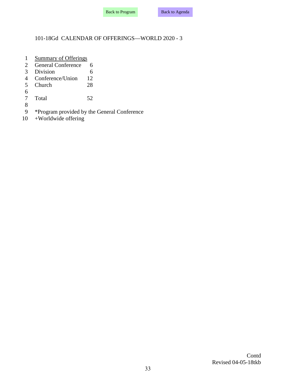#### 101-18Gd CALENDAR OF OFFERINGS—WORLD 2020 - 3

- 1 Summary of Offerings
- 2 General Conference 6
- 3 Division 6
- 4 Conference/Union 12
- 5 Church 28
- 6
	- Total 52
- 8
- 9 \*Program provided by the General Conference<br>10 +Worldwide offering
- +Worldwide offering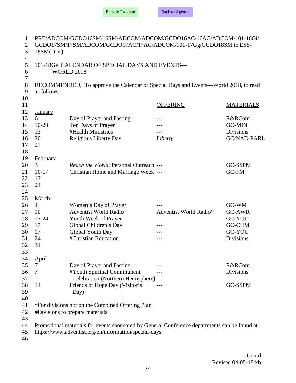<span id="page-33-0"></span>

| 1              | PRE/ADCOM/GCDO16SM/16SM/ADCOM/ADCOM/GCDO16AC/16AC/ADCOM/101-16Gi/                            |                                                                                     |                        |                    |
|----------------|----------------------------------------------------------------------------------------------|-------------------------------------------------------------------------------------|------------------------|--------------------|
| 2              | GCD017SM/17SM/ADCOM/GCD017AC/17AC/ADCOM/101-17Gg/GCD018SM to ESS-                            |                                                                                     |                        |                    |
| 3              | 18SM(DIV)                                                                                    |                                                                                     |                        |                    |
| $\overline{4}$ |                                                                                              |                                                                                     |                        |                    |
| 5              |                                                                                              | 101-18Ge CALENDAR OF SPECIAL DAYS AND EVENTS-                                       |                        |                    |
| 6              |                                                                                              | <b>WORLD 2018</b>                                                                   |                        |                    |
| 7              |                                                                                              |                                                                                     |                        |                    |
| $8\,$          |                                                                                              | RECOMMENDED, To approve the Calendar of Special Days and Events-World 2018, to read |                        |                    |
| 9              | as follows:                                                                                  |                                                                                     |                        |                    |
| 10             |                                                                                              |                                                                                     |                        |                    |
| 11             |                                                                                              |                                                                                     | <b>OFFERING</b>        | <b>MATERIALS</b>   |
| 12             | <b>January</b>                                                                               |                                                                                     |                        |                    |
| 13             | 6                                                                                            | Day of Prayer and Fasting                                                           |                        | R&RCom             |
| 14             | $10 - 20$                                                                                    | Ten Days of Prayer                                                                  |                        | <b>GC-MIN</b>      |
| 15             | 13                                                                                           | #Health Ministries                                                                  |                        | <b>Divisions</b>   |
| 16             | 20                                                                                           | Religious Liberty Day                                                               | Liberty                | <b>GC/NAD-PARL</b> |
| 17             | 27                                                                                           |                                                                                     |                        |                    |
| 18             |                                                                                              |                                                                                     |                        |                    |
| 19             | <b>February</b>                                                                              |                                                                                     |                        |                    |
| 20             | 3                                                                                            | Reach the World: Personal Outreach ---                                              |                        | GC-SSPM            |
| 21             | $10-17$                                                                                      | Christian Home and Marriage Week ---                                                |                        | GC-FM              |
| 22             | 17                                                                                           |                                                                                     |                        |                    |
| 23             | 24                                                                                           |                                                                                     |                        |                    |
| 24             |                                                                                              |                                                                                     |                        |                    |
| 25             | March                                                                                        |                                                                                     |                        |                    |
| 26             | $\overline{4}$                                                                               | Women's Day of Prayer                                                               |                        | GC-WM              |
| 27             | 10                                                                                           | <b>Adventist World Radio</b>                                                        | Adventist World Radio* | <b>GC-AWR</b>      |
| 28             | $17 - 24$                                                                                    | Youth Week of Prayer                                                                |                        | GC-YOU             |
| 29             | 17                                                                                           | Global Children's Day                                                               |                        | <b>GC-CHM</b>      |
| 30             | 17                                                                                           | Global Youth Day                                                                    | ---                    | GC-YOU             |
| 31             | 24                                                                                           | #Christian Education                                                                | $---$                  | <b>Divisions</b>   |
| 32             | 31                                                                                           |                                                                                     |                        |                    |
| 33             |                                                                                              |                                                                                     |                        |                    |
| 34             | <b>April</b>                                                                                 |                                                                                     |                        |                    |
| 35             | $\tau$                                                                                       | Day of Prayer and Fasting                                                           |                        | R&RCom             |
| 36             | $\tau$                                                                                       | #Youth Spiritual Commitment                                                         |                        | <b>Divisions</b>   |
| 37             |                                                                                              | Celebration (Northern Hemisphere)                                                   |                        |                    |
| 38             | 14                                                                                           | Friends of Hope Day (Visitor's                                                      | ---                    | GC-SSPM            |
| 39             |                                                                                              | Day)                                                                                |                        |                    |
| 40             |                                                                                              |                                                                                     |                        |                    |
| 41             |                                                                                              | *For divisions not on the Combined Offering Plan                                    |                        |                    |
| 42             |                                                                                              | #Divisions to prepare materials                                                     |                        |                    |
| 43             |                                                                                              |                                                                                     |                        |                    |
| 44             | Promotional materials for events sponsored by General Conference departments can be found at |                                                                                     |                        |                    |
| 45             | https://www.adventist.org/en/information/special-days.                                       |                                                                                     |                        |                    |
| 46             |                                                                                              |                                                                                     |                        |                    |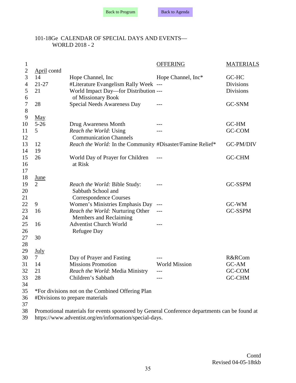Back to Program Back to Agenda

#### 101-18Ge CALENDAR OF SPECIAL DAYS AND EVENTS— WORLD 2018 - 2

| 1              |                                                        |                                                                                              | <b>OFFERING</b>      | <b>MATERIALS</b> |
|----------------|--------------------------------------------------------|----------------------------------------------------------------------------------------------|----------------------|------------------|
| $\overline{c}$ | April contd                                            |                                                                                              |                      |                  |
| 3              | 14                                                     | Hope Channel, Inc.                                                                           | Hope Channel, Inc*   | GC-HC            |
| 4              | $21 - 27$                                              | #Literature Evangelism Rally Week                                                            | $---$                | <b>Divisions</b> |
| 5              | 21                                                     | World Impact Day—for Distribution ---                                                        |                      | <b>Divisions</b> |
| 6              |                                                        | of Missionary Book                                                                           |                      |                  |
| 7              | 28                                                     | <b>Special Needs Awareness Day</b>                                                           |                      | GC-SNM           |
| $8\,$          |                                                        |                                                                                              |                      |                  |
| 9              | <u>May</u>                                             |                                                                                              |                      |                  |
| 10             | $5 - 26$                                               | Drug Awareness Month                                                                         |                      | GC-HM            |
| 11             | 5                                                      | Reach the World: Using                                                                       |                      | GC-COM           |
| 12             |                                                        | <b>Communication Channels</b>                                                                |                      |                  |
| 13             | 12                                                     | Reach the World: In the Community #Disaster/Famine Relief*                                   |                      | GC-PM/DIV        |
| 14             | 19                                                     |                                                                                              |                      |                  |
| 15             | 26                                                     | World Day of Prayer for Children                                                             |                      | <b>GC-CHM</b>    |
| 16             |                                                        | at Risk                                                                                      |                      |                  |
| 17             |                                                        |                                                                                              |                      |                  |
| 18             | June                                                   |                                                                                              |                      |                  |
| 19             | 2                                                      | <i>Reach the World: Bible Study:</i>                                                         |                      | GC-SSPM          |
| 20             |                                                        | Sabbath School and                                                                           |                      |                  |
| 21             |                                                        | <b>Correspondence Courses</b>                                                                |                      |                  |
| 22             | 9                                                      | Women's Ministries Emphasis Day                                                              |                      | GC-WM            |
| 23             | 16                                                     | Reach the World: Nurturing Other                                                             |                      | GC-SSPM          |
| 24             |                                                        | Members and Reclaiming                                                                       |                      |                  |
| 25             | 16                                                     | <b>Adventist Church World</b>                                                                |                      |                  |
| 26             |                                                        | Refugee Day                                                                                  |                      |                  |
| 27             | 30                                                     |                                                                                              |                      |                  |
| 28             |                                                        |                                                                                              |                      |                  |
| 29             | July                                                   |                                                                                              |                      |                  |
| 30             | $\overline{7}$                                         | Day of Prayer and Fasting                                                                    |                      | R&RCom           |
| 31             | 14                                                     | <b>Missions Promotion</b>                                                                    | <b>World Mission</b> | GC-AM            |
| 32             | 21                                                     | Reach the World: Media Ministry                                                              | ---                  | GC-COM           |
| 33             | 28                                                     | Children's Sabbath                                                                           |                      | <b>GC-CHM</b>    |
| 34             |                                                        |                                                                                              |                      |                  |
| 35             |                                                        | *For divisions not on the Combined Offering Plan                                             |                      |                  |
| 36             | #Divisions to prepare materials                        |                                                                                              |                      |                  |
| 37             |                                                        |                                                                                              |                      |                  |
| 38             |                                                        | Promotional materials for events sponsored by General Conference departments can be found at |                      |                  |
| 39             | https://www.adventist.org/en/information/special-days. |                                                                                              |                      |                  |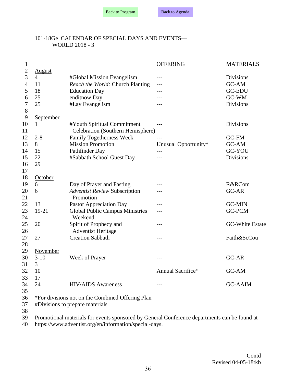#### 101-18Ge CALENDAR OF SPECIAL DAYS AND EVENTS— WORLD 2018 - 3

| $\mathbf{I}$   |                                                  |                                                                                              | <b>OFFERING</b>      | <b>MATERIALS</b> |
|----------------|--------------------------------------------------|----------------------------------------------------------------------------------------------|----------------------|------------------|
| $\overline{c}$ | <b>August</b>                                    |                                                                                              |                      |                  |
| 3              | $\overline{4}$                                   | #Global Mission Evangelism                                                                   | ---                  | <b>Divisions</b> |
| 4              | 11                                               | Reach the World: Church Planting                                                             | $---$                | GC-AM            |
| 5              | 18                                               | <b>Education Day</b>                                                                         |                      | <b>GC-EDU</b>    |
| 6              | 25                                               | enditnow Day                                                                                 |                      | GC-WM            |
| 7              | 25                                               | #Lay Evangelism                                                                              |                      | <b>Divisions</b> |
| $8\,$          |                                                  |                                                                                              |                      |                  |
| 9              | <b>September</b>                                 |                                                                                              |                      |                  |
| 10             | $\mathbf{1}$                                     | #Youth Spiritual Commitment                                                                  |                      | <b>Divisions</b> |
| 11             |                                                  | Celebration (Southern Hemisphere)                                                            |                      |                  |
| 12             | $2 - 8$                                          | Family Togetherness Week                                                                     |                      | GC-FM            |
| 13             | 8                                                | <b>Mission Promotion</b>                                                                     | Unusual Opportunity* | GC-AM            |
| 14             | 15                                               | Pathfinder Day                                                                               |                      | GC-YOU           |
| 15             | 22                                               | #Sabbath School Guest Day                                                                    |                      | <b>Divisions</b> |
| 16             | 29                                               |                                                                                              |                      |                  |
| 17             |                                                  |                                                                                              |                      |                  |
| 18             | October                                          |                                                                                              |                      |                  |
| 19             | 6                                                | Day of Prayer and Fasting                                                                    |                      | R&RCom           |
| 20             | 6                                                | <b>Adventist Review Subscription</b>                                                         |                      | GC-AR            |
| 21             |                                                  | Promotion                                                                                    |                      |                  |
| 22             | 13                                               | <b>Pastor Appreciation Day</b>                                                               |                      | <b>GC-MIN</b>    |
| 23             | 19-21                                            | <b>Global Public Campus Ministries</b>                                                       | ---                  | <b>GC-PCM</b>    |
| 24             |                                                  | Weekend                                                                                      |                      |                  |
| 25             | 20                                               | Spirit of Prophecy and                                                                       | ---                  | GC-White Estate  |
| 26             |                                                  | <b>Adventist Heritage</b>                                                                    |                      |                  |
| 27             | 27                                               | <b>Creation Sabbath</b>                                                                      |                      | Faith&ScCou      |
| 28             |                                                  |                                                                                              |                      |                  |
| 29             | <b>November</b>                                  |                                                                                              |                      |                  |
| 30             | $3-10$                                           | Week of Prayer                                                                               | ---                  | GC-AR            |
| 31             | 3                                                |                                                                                              |                      |                  |
| 32             | 10                                               |                                                                                              | Annual Sacrifice*    | GC-AM            |
| 33             | 17                                               |                                                                                              |                      |                  |
| 34             | 24                                               | <b>HIV/AIDS</b> Awareness                                                                    |                      | <b>GC-AAIM</b>   |
| 35             |                                                  |                                                                                              |                      |                  |
| 36             | *For divisions not on the Combined Offering Plan |                                                                                              |                      |                  |
| 37             | #Divisions to prepare materials                  |                                                                                              |                      |                  |
| 38             |                                                  |                                                                                              |                      |                  |
| 39             |                                                  | Promotional materials for events sponsored by General Conference departments can be found at |                      |                  |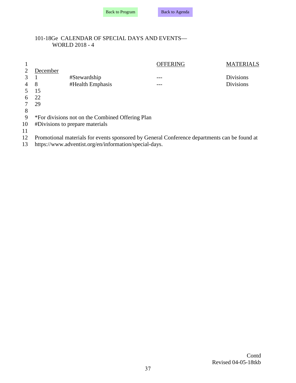#### 101-18Ge CALENDAR OF SPECIAL DAYS AND EVENTS— WORLD 2018 - 4

|    |          |                                                        | <b>OFFERING</b>                                                                              | <b>MATERIALS</b> |
|----|----------|--------------------------------------------------------|----------------------------------------------------------------------------------------------|------------------|
|    | December |                                                        |                                                                                              |                  |
|    |          | #Stewardship                                           |                                                                                              | <b>Divisions</b> |
|    | 8        | #Health Emphasis                                       |                                                                                              | <b>Divisions</b> |
|    | 15       |                                                        |                                                                                              |                  |
| h  | 22       |                                                        |                                                                                              |                  |
|    | 29       |                                                        |                                                                                              |                  |
| 8  |          |                                                        |                                                                                              |                  |
| 9  |          | *For divisions not on the Combined Offering Plan       |                                                                                              |                  |
| 10 |          | #Divisions to prepare materials                        |                                                                                              |                  |
| 11 |          |                                                        |                                                                                              |                  |
| 12 |          |                                                        | Promotional materials for events sponsored by General Conference departments can be found at |                  |
| 13 |          | https://www.adventist.org/en/information/special-days. |                                                                                              |                  |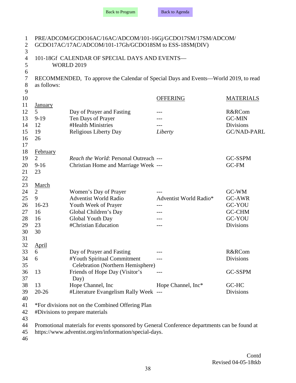<span id="page-37-0"></span>

| 1<br>$\overline{c}$ | PRE/ADCOM/GCDO16AC/16AC/ADCOM/101-16Gj/GCDO17SM/17SM/ADCOM/<br>GCDO17AC/17AC/ADCOM/101-17Gh/GCDO18SM to ESS-18SM(DIV) |                                                                                              |                        |                    |  |  |
|---------------------|-----------------------------------------------------------------------------------------------------------------------|----------------------------------------------------------------------------------------------|------------------------|--------------------|--|--|
| $\mathfrak{Z}$      |                                                                                                                       |                                                                                              |                        |                    |  |  |
| $\overline{4}$      |                                                                                                                       | 101-18Gf CALENDAR OF SPECIAL DAYS AND EVENTS-                                                |                        |                    |  |  |
| 5                   |                                                                                                                       | <b>WORLD 2019</b>                                                                            |                        |                    |  |  |
| 6                   |                                                                                                                       |                                                                                              |                        |                    |  |  |
| 7                   |                                                                                                                       | RECOMMENDED, To approve the Calendar of Special Days and Events—World 2019, to read          |                        |                    |  |  |
| $8\,$               | as follows:                                                                                                           |                                                                                              |                        |                    |  |  |
| 9                   |                                                                                                                       |                                                                                              |                        |                    |  |  |
| 10                  |                                                                                                                       |                                                                                              | <b>OFFERING</b>        | <b>MATERIALS</b>   |  |  |
| 11                  | <b>January</b>                                                                                                        |                                                                                              |                        |                    |  |  |
| 12                  | $5\overline{)}$                                                                                                       | Day of Prayer and Fasting                                                                    |                        | R&RCom             |  |  |
| 13                  | $9 - 19$                                                                                                              | Ten Days of Prayer                                                                           |                        | <b>GC-MIN</b>      |  |  |
| 14                  | 12                                                                                                                    | #Health Ministries                                                                           | $---$                  | <b>Divisions</b>   |  |  |
| 15                  | 19                                                                                                                    | <b>Religious Liberty Day</b>                                                                 | Liberty                | <b>GC/NAD-PARL</b> |  |  |
| 16                  | 26                                                                                                                    |                                                                                              |                        |                    |  |  |
| 17                  |                                                                                                                       |                                                                                              |                        |                    |  |  |
| 18                  | February                                                                                                              |                                                                                              |                        |                    |  |  |
| 19                  | 2                                                                                                                     | Reach the World: Personal Outreach ---                                                       |                        | <b>GC-SSPM</b>     |  |  |
| 20                  | $9-16$                                                                                                                | Christian Home and Marriage Week ---                                                         |                        | GC-FM              |  |  |
| 21                  | 23                                                                                                                    |                                                                                              |                        |                    |  |  |
| 22                  |                                                                                                                       |                                                                                              |                        |                    |  |  |
| 23                  | March                                                                                                                 |                                                                                              |                        |                    |  |  |
| 24                  | $\mathbf{2}$                                                                                                          | Women's Day of Prayer                                                                        |                        | GC-WM              |  |  |
| 25                  | 9                                                                                                                     | <b>Adventist World Radio</b>                                                                 | Adventist World Radio* | <b>GC-AWR</b>      |  |  |
| 26                  | $16 - 23$                                                                                                             | Youth Week of Prayer                                                                         |                        | GC-YOU             |  |  |
| 27                  | 16                                                                                                                    | Global Children's Day                                                                        |                        | <b>GC-CHM</b>      |  |  |
| 28                  | 16                                                                                                                    | Global Youth Day                                                                             |                        | GC-YOU             |  |  |
| 29                  | 23                                                                                                                    | #Christian Education                                                                         | $---$                  | Divisions          |  |  |
| 30                  | 30                                                                                                                    |                                                                                              |                        |                    |  |  |
| 31                  |                                                                                                                       |                                                                                              |                        |                    |  |  |
| 32                  | <b>April</b>                                                                                                          |                                                                                              |                        |                    |  |  |
| 33                  | 6                                                                                                                     | Day of Prayer and Fasting                                                                    |                        | R&RCom             |  |  |
| 34                  | 6                                                                                                                     | #Youth Spiritual Commitment                                                                  | ---                    | Divisions          |  |  |
| 35                  |                                                                                                                       | Celebration (Northern Hemisphere)                                                            |                        |                    |  |  |
| 36                  | 13                                                                                                                    | Friends of Hope Day (Visitor's                                                               |                        | GC-SSPM            |  |  |
| 37                  |                                                                                                                       | Day)                                                                                         |                        |                    |  |  |
| 38                  | 13                                                                                                                    | Hope Channel, Inc                                                                            | Hope Channel, Inc*     | GC-HC              |  |  |
| 39                  | $20 - 26$                                                                                                             | #Literature Evangelism Rally Week ---                                                        |                        | Divisions          |  |  |
| 40                  |                                                                                                                       |                                                                                              |                        |                    |  |  |
| 41                  |                                                                                                                       | *For divisions not on the Combined Offering Plan                                             |                        |                    |  |  |
| 42                  |                                                                                                                       | #Divisions to prepare materials                                                              |                        |                    |  |  |
| 43                  |                                                                                                                       |                                                                                              |                        |                    |  |  |
| 44                  |                                                                                                                       | Promotional materials for events sponsored by General Conference departments can be found at |                        |                    |  |  |
| 45                  | https://www.adventist.org/en/information/special-days.                                                                |                                                                                              |                        |                    |  |  |

46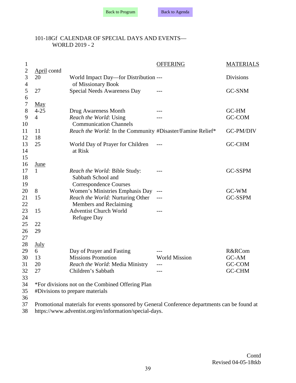Back to Program Back to Agenda

#### 101-18Gf CALENDAR OF SPECIAL DAYS AND EVENTS— WORLD 2019 - 2

| $\mathbf{1}$   |                |                                                                                                                                                                                                                                                                                                                                                                                                                                                            | <b>OFFERING</b>      | <b>MATERIALS</b> |
|----------------|----------------|------------------------------------------------------------------------------------------------------------------------------------------------------------------------------------------------------------------------------------------------------------------------------------------------------------------------------------------------------------------------------------------------------------------------------------------------------------|----------------------|------------------|
| $\overline{2}$ | April contd    |                                                                                                                                                                                                                                                                                                                                                                                                                                                            |                      |                  |
| 3<br>4         | 20             | World Impact Day—for Distribution ---<br>of Missionary Book                                                                                                                                                                                                                                                                                                                                                                                                |                      | <b>Divisions</b> |
| 5              | 27             | <b>Special Needs Awareness Day</b>                                                                                                                                                                                                                                                                                                                                                                                                                         |                      | GC-SNM           |
| 6              |                |                                                                                                                                                                                                                                                                                                                                                                                                                                                            |                      |                  |
| 7              | <u>May</u>     |                                                                                                                                                                                                                                                                                                                                                                                                                                                            |                      |                  |
| 8              | $4 - 25$       | Drug Awareness Month                                                                                                                                                                                                                                                                                                                                                                                                                                       |                      | GC-HM            |
| 9              | $\overline{4}$ | Reach the World: Using                                                                                                                                                                                                                                                                                                                                                                                                                                     |                      | GC-COM           |
| 10             |                | <b>Communication Channels</b>                                                                                                                                                                                                                                                                                                                                                                                                                              |                      |                  |
| 11             | 11             | Reach the World: In the Community #Disaster/Famine Relief*                                                                                                                                                                                                                                                                                                                                                                                                 |                      | GC-PM/DIV        |
| 12             | 18             |                                                                                                                                                                                                                                                                                                                                                                                                                                                            |                      |                  |
| 13             | 25             | World Day of Prayer for Children                                                                                                                                                                                                                                                                                                                                                                                                                           |                      | GC-CHM           |
| 14             |                | at Risk                                                                                                                                                                                                                                                                                                                                                                                                                                                    |                      |                  |
| 15             |                |                                                                                                                                                                                                                                                                                                                                                                                                                                                            |                      |                  |
| 16             | June           |                                                                                                                                                                                                                                                                                                                                                                                                                                                            |                      |                  |
| 17             | 1              | <i>Reach the World: Bible Study:</i>                                                                                                                                                                                                                                                                                                                                                                                                                       |                      | GC-SSPM          |
| 18             |                | Sabbath School and                                                                                                                                                                                                                                                                                                                                                                                                                                         |                      |                  |
| 19             |                | <b>Correspondence Courses</b>                                                                                                                                                                                                                                                                                                                                                                                                                              |                      |                  |
| 20             | 8              | Women's Ministries Emphasis Day                                                                                                                                                                                                                                                                                                                                                                                                                            | $---$                | GC-WM            |
| 21             | 15             | Reach the World: Nurturing Other                                                                                                                                                                                                                                                                                                                                                                                                                           |                      | GC-SSPM          |
| 22             |                | Members and Reclaiming                                                                                                                                                                                                                                                                                                                                                                                                                                     |                      |                  |
| 23             | 15             | <b>Adventist Church World</b>                                                                                                                                                                                                                                                                                                                                                                                                                              | $---$                |                  |
| 24             |                | Refugee Day                                                                                                                                                                                                                                                                                                                                                                                                                                                |                      |                  |
| 25             | 22             |                                                                                                                                                                                                                                                                                                                                                                                                                                                            |                      |                  |
| 26             | 29             |                                                                                                                                                                                                                                                                                                                                                                                                                                                            |                      |                  |
| 27             |                |                                                                                                                                                                                                                                                                                                                                                                                                                                                            |                      |                  |
| 28             | <u>July</u>    |                                                                                                                                                                                                                                                                                                                                                                                                                                                            |                      |                  |
| 29             | 6              | Day of Prayer and Fasting                                                                                                                                                                                                                                                                                                                                                                                                                                  |                      | R&RCom           |
| 30             | 13             | <b>Missions Promotion</b>                                                                                                                                                                                                                                                                                                                                                                                                                                  | <b>World Mission</b> | GC-AM            |
| 31             | 20             | Reach the World: Media Ministry                                                                                                                                                                                                                                                                                                                                                                                                                            | ---                  | GC-COM           |
| 32             | 27             | Children's Sabbath                                                                                                                                                                                                                                                                                                                                                                                                                                         | ---                  | <b>GC-CHM</b>    |
| 33             |                |                                                                                                                                                                                                                                                                                                                                                                                                                                                            |                      |                  |
| 34             |                | *For divisions not on the Combined Offering Plan                                                                                                                                                                                                                                                                                                                                                                                                           |                      |                  |
| 35             |                | #Divisions to prepare materials                                                                                                                                                                                                                                                                                                                                                                                                                            |                      |                  |
| 36             |                |                                                                                                                                                                                                                                                                                                                                                                                                                                                            |                      |                  |
| 37             |                | Promotional materials for events sponsored by General Conference departments can be found at                                                                                                                                                                                                                                                                                                                                                               |                      |                  |
| $\Omega$       |                | $\mathbf{1} \cup \mathbf{1} \cup \mathbf{1} \cup \mathbf{1} \cup \mathbf{1} \cup \mathbf{1} \cup \mathbf{1} \cup \mathbf{1} \cup \mathbf{1} \cup \mathbf{1} \cup \mathbf{1} \cup \mathbf{1} \cup \mathbf{1} \cup \mathbf{1} \cup \mathbf{1} \cup \mathbf{1} \cup \mathbf{1} \cup \mathbf{1} \cup \mathbf{1} \cup \mathbf{1} \cup \mathbf{1} \cup \mathbf{1} \cup \mathbf{1} \cup \mathbf{1} \cup \mathbf{1} \cup \mathbf{1} \cup \mathbf{1} \cup \mathbf{$ |                      |                  |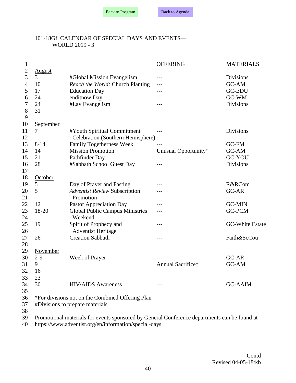#### 101-18Gf CALENDAR OF SPECIAL DAYS AND EVENTS— WORLD 2019 - 3

| $\mathbf{I}$   |                                                                                              |                                                  | <b>OFFERING</b>      | <b>MATERIALS</b>       |  |
|----------------|----------------------------------------------------------------------------------------------|--------------------------------------------------|----------------------|------------------------|--|
| $\overline{c}$ | <b>August</b>                                                                                |                                                  |                      |                        |  |
| 3              | 3                                                                                            | #Global Mission Evangelism                       |                      | <b>Divisions</b>       |  |
| 4              | 10                                                                                           | Reach the World: Church Planting                 | ---                  | GC-AM                  |  |
| 5              | 17                                                                                           | <b>Education Day</b>                             |                      | <b>GC-EDU</b>          |  |
| 6              | 24                                                                                           | enditnow Day                                     |                      | GC-WM                  |  |
| 7              | 24                                                                                           | #Lay Evangelism                                  |                      | <b>Divisions</b>       |  |
| $8\,$          | 31                                                                                           |                                                  |                      |                        |  |
| 9              |                                                                                              |                                                  |                      |                        |  |
| 10             | September                                                                                    |                                                  |                      |                        |  |
| 11             | 7                                                                                            | #Youth Spiritual Commitment                      |                      | <b>Divisions</b>       |  |
| 12             |                                                                                              | Celebration (Southern Hemisphere)                |                      |                        |  |
| 13             | $8 - 14$                                                                                     | Family Togetherness Week                         |                      | GC-FM                  |  |
| 14             | 14                                                                                           | <b>Mission Promotion</b>                         | Unusual Opportunity* | GC-AM                  |  |
| 15             | 21                                                                                           | Pathfinder Day                                   | ---                  | GC-YOU                 |  |
| 16             | 28                                                                                           | #Sabbath School Guest Day                        | ---                  | <b>Divisions</b>       |  |
| 17             |                                                                                              |                                                  |                      |                        |  |
| 18             | October                                                                                      |                                                  |                      |                        |  |
| 19             | 5                                                                                            | Day of Prayer and Fasting                        |                      | R&RCom                 |  |
| 20             | 5                                                                                            | <b>Adventist Review Subscription</b>             |                      | GC-AR                  |  |
| 21             |                                                                                              | Promotion                                        |                      |                        |  |
| 22             | 12                                                                                           | <b>Pastor Appreciation Day</b>                   |                      | <b>GC-MIN</b>          |  |
| 23             | 18-20                                                                                        | <b>Global Public Campus Ministries</b>           | ---                  | GC-PCM                 |  |
| 24             |                                                                                              | Weekend                                          |                      |                        |  |
| 25             | 19                                                                                           | Spirit of Prophecy and                           |                      | <b>GC-White Estate</b> |  |
| 26             |                                                                                              | <b>Adventist Heritage</b>                        |                      |                        |  |
| 27             | 26                                                                                           | <b>Creation Sabbath</b>                          | ---                  | Faith&ScCou            |  |
| 28             |                                                                                              |                                                  |                      |                        |  |
| 29             | <b>November</b>                                                                              |                                                  |                      |                        |  |
| 30             | $2 - 9$                                                                                      | Week of Prayer                                   |                      | GC-AR                  |  |
| 31             | 9                                                                                            |                                                  | Annual Sacrifice*    | GC-AM                  |  |
| 32             | 16                                                                                           |                                                  |                      |                        |  |
| 33             | 23                                                                                           |                                                  |                      |                        |  |
| 34             | 30                                                                                           | <b>HIV/AIDS</b> Awareness                        |                      | <b>GC-AAIM</b>         |  |
| 35             |                                                                                              |                                                  |                      |                        |  |
| 36             |                                                                                              | *For divisions not on the Combined Offering Plan |                      |                        |  |
| 37             |                                                                                              | #Divisions to prepare materials                  |                      |                        |  |
| 38             |                                                                                              |                                                  |                      |                        |  |
| 39             | Promotional materials for events sponsored by General Conference departments can be found at |                                                  |                      |                        |  |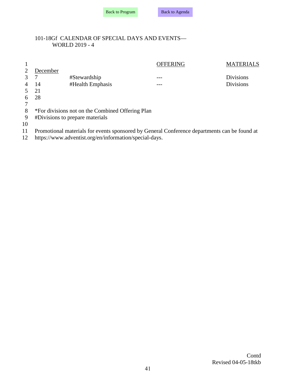#### 101-18Gf CALENDAR OF SPECIAL DAYS AND EVENTS— WORLD 2019 - 4

|    |                                                                                              | <b>OFFERING</b> | <b>MATERIALS</b> |
|----|----------------------------------------------------------------------------------------------|-----------------|------------------|
|    | December                                                                                     |                 |                  |
|    | #Stewardship                                                                                 |                 | <b>Divisions</b> |
|    | #Health Emphasis<br>14                                                                       |                 | <b>Divisions</b> |
|    | 21                                                                                           |                 |                  |
|    | 28                                                                                           |                 |                  |
|    |                                                                                              |                 |                  |
| 8  | *For divisions not on the Combined Offering Plan                                             |                 |                  |
| 9  | #Divisions to prepare materials                                                              |                 |                  |
| 10 |                                                                                              |                 |                  |
| 11 | Promotional materials for events sponsored by General Conference departments can be found at |                 |                  |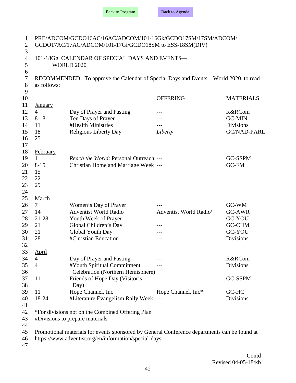<span id="page-41-0"></span>

| 1                | PRE/ADCOM/GCDO16AC/16AC/ADCOM/101-16Gk/GCDO17SM/17SM/ADCOM/                         |                                                                                              |                        |                    |  |  |  |  |
|------------------|-------------------------------------------------------------------------------------|----------------------------------------------------------------------------------------------|------------------------|--------------------|--|--|--|--|
| $\overline{c}$   | GCD017AC/17AC/ADCOM/101-17Gi/GCD018SM to ESS-18SM(DIV)                              |                                                                                              |                        |                    |  |  |  |  |
| 3                |                                                                                     |                                                                                              |                        |                    |  |  |  |  |
| $\overline{4}$   | 101-18Gg CALENDAR OF SPECIAL DAYS AND EVENTS-                                       |                                                                                              |                        |                    |  |  |  |  |
| 5                | <b>WORLD 2020</b>                                                                   |                                                                                              |                        |                    |  |  |  |  |
| 6                |                                                                                     |                                                                                              |                        |                    |  |  |  |  |
| $\boldsymbol{7}$ | RECOMMENDED, To approve the Calendar of Special Days and Events—World 2020, to read |                                                                                              |                        |                    |  |  |  |  |
| $8\,$            | as follows:                                                                         |                                                                                              |                        |                    |  |  |  |  |
| 9                |                                                                                     |                                                                                              |                        |                    |  |  |  |  |
| 10               |                                                                                     |                                                                                              | <b>OFFERING</b>        | <b>MATERIALS</b>   |  |  |  |  |
| 11               | <b>January</b>                                                                      |                                                                                              |                        |                    |  |  |  |  |
| 12               | $\overline{4}$                                                                      | Day of Prayer and Fasting                                                                    |                        | R&RCom             |  |  |  |  |
| 13               | $8 - 18$                                                                            | Ten Days of Prayer                                                                           |                        | <b>GC-MIN</b>      |  |  |  |  |
| 14               | 11                                                                                  | #Health Ministries                                                                           |                        | <b>Divisions</b>   |  |  |  |  |
| 15               | 18                                                                                  | <b>Religious Liberty Day</b>                                                                 | Liberty                | <b>GC/NAD-PARL</b> |  |  |  |  |
| 16               | 25                                                                                  |                                                                                              |                        |                    |  |  |  |  |
| 17               |                                                                                     |                                                                                              |                        |                    |  |  |  |  |
| 18               | February                                                                            |                                                                                              |                        |                    |  |  |  |  |
| 19               | 1                                                                                   | Reach the World: Personal Outreach ---                                                       |                        | GC-SSPM            |  |  |  |  |
| 20               | $8 - 15$                                                                            | Christian Home and Marriage Week ---                                                         |                        | GC-FM              |  |  |  |  |
| 21               | 15                                                                                  |                                                                                              |                        |                    |  |  |  |  |
| 22               | 22                                                                                  |                                                                                              |                        |                    |  |  |  |  |
| 23               | 29                                                                                  |                                                                                              |                        |                    |  |  |  |  |
| 24               |                                                                                     |                                                                                              |                        |                    |  |  |  |  |
| 25               | March                                                                               |                                                                                              |                        |                    |  |  |  |  |
| 26               | $\tau$                                                                              | Women's Day of Prayer                                                                        |                        | GC-WM              |  |  |  |  |
| 27               | 14                                                                                  | <b>Adventist World Radio</b>                                                                 | Adventist World Radio* | <b>GC-AWR</b>      |  |  |  |  |
| 28               | 21-28                                                                               | Youth Week of Prayer                                                                         |                        | GC-YOU             |  |  |  |  |
| 29               | 21                                                                                  | Global Children's Day                                                                        |                        | GC-CHM             |  |  |  |  |
| 30               | 21                                                                                  | Global Youth Day                                                                             |                        | GC-YOU             |  |  |  |  |
| 31               | 28                                                                                  | #Christian Education                                                                         |                        | <b>Divisions</b>   |  |  |  |  |
| 32               |                                                                                     |                                                                                              |                        |                    |  |  |  |  |
| 33               | <b>April</b>                                                                        |                                                                                              |                        |                    |  |  |  |  |
| 34               | 4                                                                                   | Day of Prayer and Fasting                                                                    |                        | R&RCom             |  |  |  |  |
| 35               | $\overline{4}$                                                                      | #Youth Spiritual Commitment                                                                  |                        | <b>Divisions</b>   |  |  |  |  |
| 36               |                                                                                     | Celebration (Northern Hemisphere)                                                            |                        |                    |  |  |  |  |
| 37               | 11                                                                                  | Friends of Hope Day (Visitor's                                                               |                        | GC-SSPM            |  |  |  |  |
| 38               |                                                                                     | Day)                                                                                         |                        |                    |  |  |  |  |
| 39               | 11                                                                                  | Hope Channel, Inc                                                                            | Hope Channel, Inc*     | GC-HC              |  |  |  |  |
| 40               | 18-24                                                                               | #Literature Evangelism Rally Week ---                                                        |                        | Divisions          |  |  |  |  |
| 41               |                                                                                     |                                                                                              |                        |                    |  |  |  |  |
| 42               |                                                                                     | *For divisions not on the Combined Offering Plan                                             |                        |                    |  |  |  |  |
| 43               |                                                                                     | #Divisions to prepare materials                                                              |                        |                    |  |  |  |  |
| 44               |                                                                                     |                                                                                              |                        |                    |  |  |  |  |
| 45               |                                                                                     | Promotional materials for events sponsored by General Conference departments can be found at |                        |                    |  |  |  |  |
| 46               |                                                                                     | https://www.adventist.org/en/information/special-days.                                       |                        |                    |  |  |  |  |
| 47               |                                                                                     |                                                                                              |                        |                    |  |  |  |  |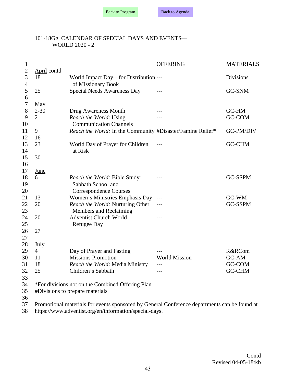#### 101-18Gg CALENDAR OF SPECIAL DAYS AND EVENTS— WORLD 2020 - 2

| $\mathbf{I}$        |                        |                                                                                              | <b>OFFERING</b>      | <b>MATERIALS</b> |
|---------------------|------------------------|----------------------------------------------------------------------------------------------|----------------------|------------------|
| $\overline{c}$      | April contd            |                                                                                              |                      |                  |
| 3                   | 18                     | World Impact Day—for Distribution ---                                                        |                      | <b>Divisions</b> |
| $\overline{4}$<br>5 | 25                     | of Missionary Book                                                                           |                      | GC-SNM           |
| 6                   |                        | <b>Special Needs Awareness Day</b>                                                           |                      |                  |
| 7                   |                        |                                                                                              |                      |                  |
| $8\,$               | <u>May</u><br>$2 - 30$ |                                                                                              |                      | GC-HM            |
| 9                   | $\overline{2}$         | Drug Awareness Month<br>Reach the World: Using                                               |                      | GC-COM           |
| 10                  |                        | <b>Communication Channels</b>                                                                |                      |                  |
| 11                  | 9                      | Reach the World: In the Community #Disaster/Famine Relief*                                   |                      | GC-PM/DIV        |
| 12                  | 16                     |                                                                                              |                      |                  |
| 13                  | 23                     | World Day of Prayer for Children                                                             |                      | <b>GC-CHM</b>    |
| 14                  |                        | at Risk                                                                                      |                      |                  |
| 15                  | 30                     |                                                                                              |                      |                  |
| 16                  |                        |                                                                                              |                      |                  |
| 17                  | <u>June</u>            |                                                                                              |                      |                  |
| 18                  | 6                      | <i>Reach the World: Bible Study:</i>                                                         |                      | GC-SSPM          |
| 19                  |                        | Sabbath School and                                                                           |                      |                  |
| 20                  |                        | <b>Correspondence Courses</b>                                                                |                      |                  |
| 21                  | 13                     | Women's Ministries Emphasis Day                                                              | $---$                | GC-WM            |
| 22                  | 20                     | Reach the World: Nurturing Other                                                             |                      | GC-SSPM          |
| 23                  |                        | Members and Reclaiming                                                                       |                      |                  |
| 24                  | 20                     | <b>Adventist Church World</b>                                                                |                      |                  |
| 25                  |                        | Refugee Day                                                                                  |                      |                  |
| 26                  | 27                     |                                                                                              |                      |                  |
| 27                  |                        |                                                                                              |                      |                  |
| 28                  | <u>July</u>            |                                                                                              |                      |                  |
| 29                  | $\overline{4}$         | Day of Prayer and Fasting                                                                    |                      | R&RCom           |
| 30                  | 11                     | <b>Missions Promotion</b>                                                                    | <b>World Mission</b> | GC-AM            |
| 31                  | 18                     | Reach the World: Media Ministry                                                              |                      | GC-COM           |
| 32                  | 25                     | Children's Sabbath                                                                           | ---                  | <b>GC-CHM</b>    |
| 33                  |                        |                                                                                              |                      |                  |
| 34                  |                        | *For divisions not on the Combined Offering Plan                                             |                      |                  |
| 35                  |                        | #Divisions to prepare materials                                                              |                      |                  |
| 36                  |                        |                                                                                              |                      |                  |
| 37                  |                        | Promotional materials for events sponsored by General Conference departments can be found at |                      |                  |
| 38                  |                        | https://www.adventist.org/en/information/special-days.                                       |                      |                  |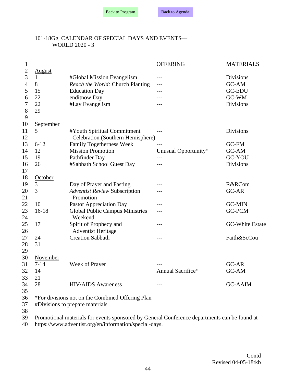#### 101-18Gg CALENDAR OF SPECIAL DAYS AND EVENTS— WORLD 2020 - 3

| $\mathbf{I}$   |                                                                                              |                                                  | <b>OFFERING</b>      | <b>MATERIALS</b>       |  |
|----------------|----------------------------------------------------------------------------------------------|--------------------------------------------------|----------------------|------------------------|--|
| $\overline{c}$ | <b>August</b>                                                                                |                                                  |                      |                        |  |
| 3              | $\mathbf{1}$                                                                                 | #Global Mission Evangelism                       |                      | <b>Divisions</b>       |  |
| 4              | 8                                                                                            | Reach the World: Church Planting                 | ---                  | GC-AM                  |  |
| 5              | 15                                                                                           | <b>Education Day</b>                             |                      | <b>GC-EDU</b>          |  |
| 6              | 22                                                                                           | enditnow Day                                     |                      | GC-WM                  |  |
| 7              | 22                                                                                           | #Lay Evangelism                                  |                      | <b>Divisions</b>       |  |
| $8\,$          | 29                                                                                           |                                                  |                      |                        |  |
| 9              |                                                                                              |                                                  |                      |                        |  |
| 10             | <u>September</u>                                                                             |                                                  |                      |                        |  |
| 11             | 5                                                                                            | #Youth Spiritual Commitment                      |                      | <b>Divisions</b>       |  |
| 12             |                                                                                              | Celebration (Southern Hemisphere)                |                      |                        |  |
| 13             | $6 - 12$                                                                                     | <b>Family Togetherness Week</b>                  |                      | GC-FM                  |  |
| 14             | 12                                                                                           | <b>Mission Promotion</b>                         | Unusual Opportunity* | GC-AM                  |  |
| 15             | 19                                                                                           | Pathfinder Day                                   | ---                  | GC-YOU                 |  |
| 16             | 26                                                                                           | #Sabbath School Guest Day                        | ---                  | <b>Divisions</b>       |  |
| 17             |                                                                                              |                                                  |                      |                        |  |
| 18             | October                                                                                      |                                                  |                      |                        |  |
| 19             | 3                                                                                            | Day of Prayer and Fasting                        |                      | R&RCom                 |  |
| 20             | 3                                                                                            | <b>Adventist Review Subscription</b>             |                      | GC-AR                  |  |
| 21             |                                                                                              | Promotion                                        |                      |                        |  |
| 22             | 10                                                                                           | <b>Pastor Appreciation Day</b>                   |                      | <b>GC-MIN</b>          |  |
| 23             | $16-18$                                                                                      | <b>Global Public Campus Ministries</b>           | ---                  | <b>GC-PCM</b>          |  |
| 24             |                                                                                              | Weekend                                          |                      |                        |  |
| 25             | 17                                                                                           | Spirit of Prophecy and                           |                      | <b>GC-White Estate</b> |  |
| 26             |                                                                                              | <b>Adventist Heritage</b>                        |                      |                        |  |
| 27             | 24                                                                                           | <b>Creation Sabbath</b>                          | ---                  | Faith&ScCou            |  |
| 28             | 31                                                                                           |                                                  |                      |                        |  |
| 29             |                                                                                              |                                                  |                      |                        |  |
| 30             | November                                                                                     |                                                  |                      |                        |  |
| 31             | $7-14$                                                                                       | Week of Prayer                                   |                      | GC-AR                  |  |
| 32             | 14                                                                                           |                                                  | Annual Sacrifice*    | GC-AM                  |  |
| 33             | 21                                                                                           |                                                  |                      |                        |  |
| 34             | 28                                                                                           | <b>HIV/AIDS</b> Awareness                        |                      | <b>GC-AAIM</b>         |  |
| 35             |                                                                                              |                                                  |                      |                        |  |
| 36             |                                                                                              | *For divisions not on the Combined Offering Plan |                      |                        |  |
| 37             |                                                                                              | #Divisions to prepare materials                  |                      |                        |  |
| 38             |                                                                                              |                                                  |                      |                        |  |
| 39             | Promotional materials for events sponsored by General Conference departments can be found at |                                                  |                      |                        |  |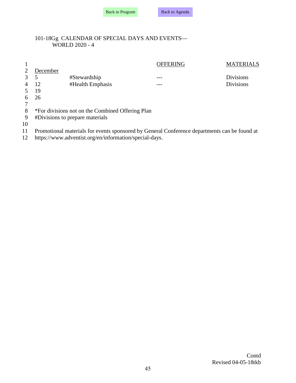#### 101-18Gg CALENDAR OF SPECIAL DAYS AND EVENTS— WORLD 2020 - 4

|    |                                                                                              | <b>OFFERING</b> | <b>MATERIALS</b> |
|----|----------------------------------------------------------------------------------------------|-----------------|------------------|
|    | December                                                                                     |                 |                  |
|    | #Stewardship                                                                                 |                 | <b>Divisions</b> |
|    | #Health Emphasis<br>12                                                                       |                 | <b>Divisions</b> |
|    | 19                                                                                           |                 |                  |
|    | 26                                                                                           |                 |                  |
|    |                                                                                              |                 |                  |
| 8  | *For divisions not on the Combined Offering Plan                                             |                 |                  |
| 9  | #Divisions to prepare materials                                                              |                 |                  |
| 10 |                                                                                              |                 |                  |
| 11 | Promotional materials for events sponsored by General Conference departments can be found at |                 |                  |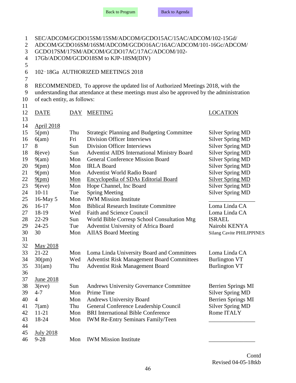<span id="page-45-0"></span>1 SEC/ADCOM/GCDO15SM/15SM/ADCOM/GCDO15AC/15AC/ADCOM/102-15Gd/ 2 ADCOM/GCDO16SM/16SM/ADCOM/GCDO16AC/16AC/ADCOM/101-16Gc/ADCOM/ 3 GCDO17SM/17SM/ADCOM/GCDO17AC/17AC/ADCOM/102- 4 17Gb/ADCOM/GCDO18SM to KJP-18SM(DIV) 5 6 102‑18Ga AUTHORIZED MEETINGS 2018 7 8 RECOMMENDED, To approve the updated list of Authorized Meetings 2018, with the 9 understanding that attendance at these meetings must also be approved by the administration 10 of each entity, as follows: 11 12 DATE DAY MEETING LOCATION 13 14 April 2018 15 5(pm) Thu Strategic Planning and Budgeting Committee Silver Spring MD 16 6(am) Fri Division Officer Interviews Silver Spring MD 17 8 Sun Division Officer Interviews Silver Spring MD 18 8(eve) Sun Adventist AIDS International Ministry Board Silver Spring MD 19 9(am) Mon General Conference Mission Board Silver Spring MD 20 9(pm) Mon IRLA Board Silver Spring MD 21 9(pm) Mon Adventist World Radio Board Silver Spring MD 22 9(pm) Mon Encyclopedia of SDAs Editorial Board Silver Spring MD 23 9(eve) Mon Hope Channel, Inc Board Silver Spring MD 24 10-11 Tue Spring Meeting Silver Spring MD 25 16-May 5 Mon IWM Mission Institute 26 16-17 Mon Biblical Research Institute Committee Loma Linda CA 27 18-19 Wed Faith and Science Council Loma Linda CA 28 22-29 Sun World Bible Corresp School Consultation Mtg ISRAEL 29 24-25 Tue Adventist University of Africa Board Nairobi KENYA 30 30 Mon AIIAS Board Meeting Silang Cavite PHILIPPINES 31 32 May 2018 33 21-22 Mon Loma Linda University Board and Committees Loma Linda CA 34 30(pm) Wed Adventist Risk Management Board Committees Burlington VT 35 31(am) Thu Adventist Risk Management Board Burlington VT 36 37 June 2018 38 3(eve) Sun Andrews University Governance Committee Berrien Springs MI 39 4-7 Mon Prime Time Silver Spring MD 40 4 Mon Andrews University Board Berrien Springs MI 41 7(am) Thu General Conference Leadership Council Silver Spring MD 42 11-21 Mon BRI International Bible Conference Rome ITALY 43 18-24 Mon IWM Re-Entry Seminars Family/Teen 44 45 July 2018 46 9-28 Mon IWM Mission Institute \_\_\_\_\_\_\_\_\_\_\_\_\_\_\_\_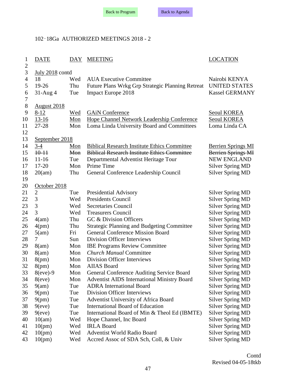#### 102‑18Ga AUTHORIZED MEETINGS 2018 - 2

| $\mathbf 1$    | <b>DATE</b>        |     | DAY MEETING                                         | <b>LOCATION</b>           |
|----------------|--------------------|-----|-----------------------------------------------------|---------------------------|
| 2              |                    |     |                                                     |                           |
| 3              | $July 2018$ contd  |     |                                                     |                           |
| $\overline{4}$ | 18                 | Wed | <b>AUA Executive Committee</b>                      | Nairobi KENYA             |
| 5              | $19 - 26$          | Thu | Future Plans Wrkg Grp Strategic Planning Retreat    | <b>UNITED STATES</b>      |
| 6              | 31-Aug 4           | Tue | <b>Impact Europe 2018</b>                           | <b>Kassel GERMANY</b>     |
| 7              |                    |     |                                                     |                           |
| $8\,$          | <u>August 2018</u> |     |                                                     |                           |
| 9              | $8-12$             | Wed | <b>GAIN</b> Conference                              | Seoul KOREA               |
| 10             | $13-16$            | Mon | Hope Channel Network Leadership Conference          | <b>Seoul KOREA</b>        |
| 11             | 27-28              | Mon | Loma Linda University Board and Committees          | Loma Linda CA             |
| 12             |                    |     |                                                     |                           |
| 13             | September 2018     |     |                                                     |                           |
| 14             | $3-4$              | Mon | <b>Biblical Research Institute Ethics Committee</b> | <b>Berrien Springs MI</b> |
| 15             | $10 - 11$          | Mon | <b>Biblical Research Institute Ethics Committee</b> | <b>Berrien Springs MI</b> |
| 16             | $11 - 16$          | Tue | Departmental Adventist Heritage Tour                | <b>NEW ENGLAND</b>        |
| 17             | $17 - 20$          | Mon | Prime Time                                          | <b>Silver Spring MD</b>   |
| 18             | 20(am)             | Thu | General Conference Leadership Council               | <b>Silver Spring MD</b>   |
| 19             |                    |     |                                                     |                           |
| 20             | October 2018       |     |                                                     |                           |
| 21             | $\mathbf{2}$       | Tue | <b>Presidential Advisory</b>                        | <b>Silver Spring MD</b>   |
| 22             | 3                  | Wed | <b>Presidents Council</b>                           | <b>Silver Spring MD</b>   |
| 23             | $\mathfrak{Z}$     | Wed | <b>Secretaries Council</b>                          | <b>Silver Spring MD</b>   |
| 24             | 3                  | Wed | <b>Treasurers Council</b>                           | <b>Silver Spring MD</b>   |
| 25             | 4(am)              | Thu | GC & Division Officers                              | <b>Silver Spring MD</b>   |
| 26             | 4(pm)              | Thu | <b>Strategic Planning and Budgeting Committee</b>   | <b>Silver Spring MD</b>   |
| 27             | 5(am)              | Fri | <b>General Conference Mission Board</b>             | <b>Silver Spring MD</b>   |
| 28             | 7                  | Sun | <b>Division Officer Interviews</b>                  | <b>Silver Spring MD</b>   |
| 29             | 8(am)              | Mon | <b>IBE Programs Review Committee</b>                | <b>Silver Spring MD</b>   |
| 30             | 8(am)              | Mon | <b>Church Manual Committee</b>                      | <b>Silver Spring MD</b>   |
| 31             | 8(pm)              | Mon | Division Officer Interviews                         | <b>Silver Spring MD</b>   |
| 32             | 8(pm)              | Mon | <b>AIIAS</b> Board                                  | <b>Silver Spring MD</b>   |
| 33             | $8(eve)-9$         | Mon | General Conference Auditing Service Board           | <b>Silver Spring MD</b>   |
| 34             | $8$ (eve)          | Mon | <b>Adventist AIDS International Ministry Board</b>  | <b>Silver Spring MD</b>   |
| 35             | 9(am)              | Tue | <b>ADRA</b> International Board                     | <b>Silver Spring MD</b>   |
| 36             | 9(pm)              | Tue | <b>Division Officer Interviews</b>                  | <b>Silver Spring MD</b>   |
| 37             | 9(pm)              | Tue | Adventist University of Africa Board                | <b>Silver Spring MD</b>   |
| 38             | 9(eve)             | Tue | <b>International Board of Education</b>             | <b>Silver Spring MD</b>   |
| 39             | 9(eve)             | Tue | International Board of Min & Theol Ed (IBMTE)       | <b>Silver Spring MD</b>   |
| 40             | 10(am)             | Wed | Hope Channel, Inc Board                             | <b>Silver Spring MD</b>   |
| 41             | 10(pm)             | Wed | <b>IRLA Board</b>                                   | <b>Silver Spring MD</b>   |
| 42             | 10(pm)             | Wed | Adventist World Radio Board                         | <b>Silver Spring MD</b>   |
| 43             | 10(pm)             | Wed | Accred Assoc of SDA Sch, Coll, & Univ               | <b>Silver Spring MD</b>   |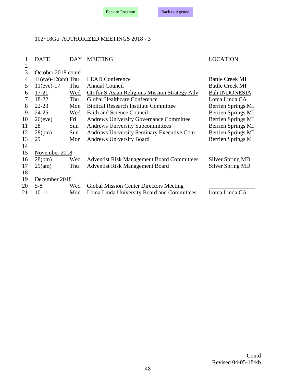#### 102‑18Ga AUTHORIZED MEETINGS 2018 - 3

#### 1 DATE DAY MEETING LOCATION 2 3 October 2018 contd 4 11(eve)-12(am) Thu LEAD Conference Battle Creek MI 5 11(eve)-17 Thu Annual Council Battle Creek MI 6 17-21 Wed Ctr for S Asian Religions Mission Strategy Adv Bali INDONESIA 7 18-22 Thu Global Healthcare Conference Loma Linda CA 8 22-23 Mon Biblical Research Institute Committee Berrien Springs MI 9 24-25 Wed Faith and Science Council Berrien Springs MI 10 26(eve) Fri Andrews University Governance Committee Berrien Springs MI 11 28 Sun Andrews University Subcommittees Berrien Springs MI<br>
12 28(pm) Sun Andrews University Seminary Executive Com Berrien Springs MI 12 28(pm) Sun Andrews University Seminary Executive Com 13 29 Mon Andrews University Board Berrien Springs MI 14 15 November 2018 16 28(pm) Wed Adventist Risk Management Board Committees Silver Spring MD 17 29(am) Thu Adventist Risk Management Board Silver Spring MD 18 19 December 2018 20 5-8 Wed Global Mission Center Directors Meeting 21 10-11 Mon Loma Linda University Board and Committees Loma Linda CA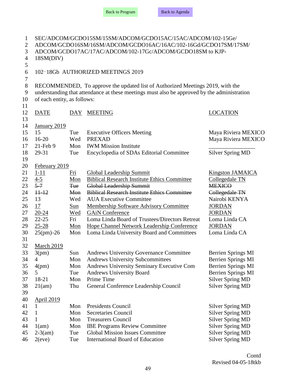<span id="page-48-0"></span>1 SEC/ADCOM/GCDO15SM/15SM/ADCOM/GCDO15AC/15AC/ADCOM/102-15Ge/ 2 ADCOM/GCDO16SM/16SM/ADCOM/GCDO16AC/16AC/102-16Gd/GCDO17SM/17SM/ 3 ADCOM/GCDO17AC/17AC/ADCOM/102-17Gc/ADCOM/GCDO18SM to KJP-4 18SM(DIV) 5 6 102‑18Gb AUTHORIZED MEETINGS 2019 7 8 RECOMMENDED, To approve the updated list of Authorized Meetings 2019, with the 9 understanding that attendance at these meetings must also be approved by the administration 10 of each entity, as follows: 11 12 DATE DAY MEETING LOCATION 13 14 January 2019 15 15 Tue Executive Officers Meeting Maya Riviera MEXICO 16 16-20 Wed PREXAD Maya Riviera MEXICO 17 21-Feb 9 Mon IWM Mission Institute 18 29-31 Tue Encyclopedia of SDAs Editorial Committee Silver Spring MD 19 20 February 2019 21 1-11 Fri Global Leadership Summit Kingston JAMAICA 22 4-5 Mon Biblical Research Institute Ethics Committee Collegedale TN 23 5-7 Tue Global Leadership Summit MEXICO 24 <del>11-12</del> Mon Biblical Research Institute Ethics Committee Collegedale TN 25 13 Wed AUA Executive Committee Nairobi KENYA 26 17 Sun Membership Software Advisory Committee JORDAN 27 20-24 Wed GAiN Conference JORDAN 28 22-25 Fri Loma Linda Board of Trustees/Directors Retreat Loma Linda CA 29 25-28 Mon Hope Channel Network Leadership Conference JORDAN 30 25(pm) -26 Mon Loma Linda University Board and Committees Loma Linda CA 31 32 March 2019 33 3(pm) Sun Andrews University Governance Committee Berrien Springs MI 34 4 Mon Andrews University Subcommittees Berrien Springs MI 35 4(pm) Mon Andrews University Seminary Executive Com Berrien Springs MI 36 5 Tue Andrews University Board Berrien Springs MI 37 18-21 Mon Prime Time Silver Spring MD 38 21(am) Thu General Conference Leadership Council Silver Spring MD 39 40 April 2019 41 1 Mon Presidents Council Silver Spring MD 42 1 Mon Secretaries Council Silver Spring MD 43 1 Mon Treasurers Council Silver Spring MD 44 1(am) Mon IBE Programs Review Committee Silver Spring MD 45 2-3(am) Tue Global Mission Issues Committee Silver Spring MD 46 2(eve) Tue International Board of Education Silver Spring MD

> Contd Revised 04-05-18tkb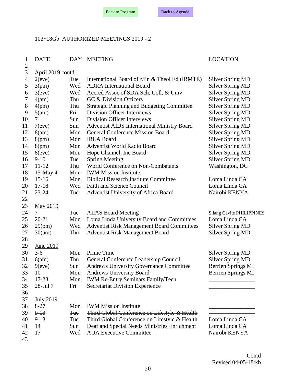#### 102‑18Gb AUTHORIZED MEETINGS 2019 - 2

| 1<br>$\mathbf{2}$ | <b>DATE</b>      |            | DAY MEETING                                        | <b>LOCATION</b>                  |
|-------------------|------------------|------------|----------------------------------------------------|----------------------------------|
| 3                 | April 2019 contd |            |                                                    |                                  |
| 4                 | 2(eve)           | Tue        | International Board of Min & Theol Ed (IBMTE)      | Silver Spring MD                 |
| 5                 | 3(pm)            | Wed        | <b>ADRA</b> International Board                    | <b>Silver Spring MD</b>          |
| 6                 | 3(eve)           | Wed        | Accred Assoc of SDA Sch, Coll, & Univ              | <b>Silver Spring MD</b>          |
| 7                 | 4(am)            | Thu        | GC & Division Officers                             | <b>Silver Spring MD</b>          |
| $8\,$             | 4(pm)            | Thu        | <b>Strategic Planning and Budgeting Committee</b>  | <b>Silver Spring MD</b>          |
| 9                 | 5(am)            | Fri        | <b>Division Officer Interviews</b>                 | <b>Silver Spring MD</b>          |
| 10                | 7                | Sun        | <b>Division Officer Interviews</b>                 | <b>Silver Spring MD</b>          |
| 11                | 7(eve)           | Sun        | <b>Adventist AIDS International Ministry Board</b> | <b>Silver Spring MD</b>          |
| 12                | 8(am)            | Mon        | <b>General Conference Mission Board</b>            | <b>Silver Spring MD</b>          |
| 13                | 8(pm)            | Mon        | <b>IRLA Board</b>                                  | <b>Silver Spring MD</b>          |
| 14                | 8(pm)            | Mon        | Adventist World Radio Board                        | <b>Silver Spring MD</b>          |
| 15                | 8(eve)           | Mon        | Hope Channel, Inc Board                            | <b>Silver Spring MD</b>          |
| 16                | $9-10$           | Tue        | <b>Spring Meeting</b>                              | <b>Silver Spring MD</b>          |
| 17                | $11 - 12$        | Thu        | World Conference on Non-Combatants                 | Washington, DC                   |
| 18                | $15$ -May 4      | Mon        | <b>IWM Mission Institute</b>                       |                                  |
| 19                | $15-16$          | Mon        | <b>Biblical Research Institute Committee</b>       | Loma Linda CA                    |
| 20                | $17 - 18$        | Wed        | <b>Faith and Science Council</b>                   | Loma Linda CA                    |
| 21                | 23-24            | Tue        | Adventist University of Africa Board               | Nairobi KENYA                    |
| 22                |                  |            |                                                    |                                  |
| 23                | <b>May 2019</b>  |            |                                                    |                                  |
| 24                | $\tau$           | Tue        | <b>AIIAS Board Meeting</b>                         | <b>Silang Cavite PHILIPPINES</b> |
| 25                | $20 - 21$        | Mon        | Loma Linda University Board and Committees         | Loma Linda CA                    |
| 26                | 29(pm)           | Wed        | <b>Adventist Risk Management Board Committees</b>  | <b>Silver Spring MD</b>          |
| 27                | 30(am)           | Thu        | <b>Adventist Risk Management Board</b>             | <b>Silver Spring MD</b>          |
| 28                |                  |            |                                                    |                                  |
| 29                | <u>June 2019</u> |            |                                                    |                                  |
| 30                | $3 - 6$          | Mon        | Prime Time                                         | <b>Silver Spring MD</b>          |
| 31                | 6(am)            | Thu        | General Conference Leadership Council              | <b>Silver Spring MD</b>          |
| 32                | 9(eve)           | Sun        | Andrews University Governance Committee            | <b>Berrien Springs MI</b>        |
| 33                | 10               | Mon        | <b>Andrews University Board</b>                    | <b>Berrien Springs MI</b>        |
| 34                | $17 - 23$        | Mon        | <b>IWM Re-Entry Seminars Family/Teen</b>           |                                  |
| 35                | 28-Jul 7         | Fri        | <b>Secretariat Division Experience</b>             |                                  |
| 36                |                  |            |                                                    |                                  |
| 37                | <b>July 2019</b> |            |                                                    |                                  |
| 38                | $8 - 27$         | Mon        | <b>IWM Mission Institute</b>                       |                                  |
| 39                | $9 - 13$         | <b>Tue</b> | Third Global Conference on Lifestyle & Health      |                                  |
| 40                | $9 - 13$         | Tue        | Third Global Conference on Lifestyle & Health      | Loma Linda CA                    |
| 41                | <u>14</u>        | $S$ un     | Deaf and Special Needs Ministries Enrichment       | Loma Linda CA                    |
| 42                | 17               | Wed        | <b>AUA Executive Committee</b>                     | Nairobi KENYA                    |
| 43                |                  |            |                                                    |                                  |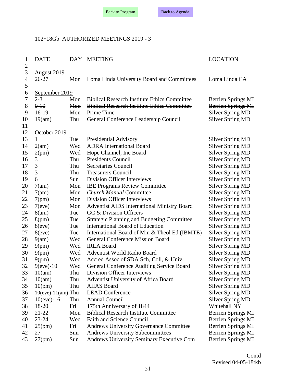#### 102‑18Gb AUTHORIZED MEETINGS 2019 - 3

| $\mathbf 1$<br>$\overline{2}$ | <b>DATE</b>                     |     | DAY MEETING                                         | <b>LOCATION</b>           |
|-------------------------------|---------------------------------|-----|-----------------------------------------------------|---------------------------|
| 3<br>$\overline{4}$<br>5      | <b>August 2019</b><br>$26 - 27$ | Mon | Loma Linda University Board and Committees          | Loma Linda CA             |
| 6                             | September 2019                  |     |                                                     |                           |
| 7                             | $2 - 3$                         | Mon | <b>Biblical Research Institute Ethics Committee</b> | <b>Berrien Springs MI</b> |
| 8                             | $9 - 10$                        | Mon | <b>Biblical Research Institute Ethics Committee</b> | <b>Berrien Springs MI</b> |
| 9                             | 16-19                           | Mon | Prime Time                                          | <b>Silver Spring MD</b>   |
| 10                            | 19(am)                          | Thu | General Conference Leadership Council               | <b>Silver Spring MD</b>   |
| 11                            |                                 |     |                                                     |                           |
| 12                            | October 2019                    |     |                                                     |                           |
| 13                            | 1                               | Tue | <b>Presidential Advisory</b>                        | <b>Silver Spring MD</b>   |
| 14                            | 2(am)                           | Wed | <b>ADRA</b> International Board                     | <b>Silver Spring MD</b>   |
| 15                            | 2(pm)                           | Wed | Hope Channel, Inc Board                             | <b>Silver Spring MD</b>   |
| 16                            | 3                               | Thu | <b>Presidents Council</b>                           | <b>Silver Spring MD</b>   |
| 17                            | 3                               | Thu | <b>Secretaries Council</b>                          | <b>Silver Spring MD</b>   |
| 18                            | 3                               | Thu | <b>Treasurers Council</b>                           | <b>Silver Spring MD</b>   |
| 19                            | 6                               | Sun | <b>Division Officer Interviews</b>                  | <b>Silver Spring MD</b>   |
| 20                            | 7(am)                           | Mon | <b>IBE Programs Review Committee</b>                | <b>Silver Spring MD</b>   |
| 21                            | 7(am)                           | Mon | <b>Church Manual Committee</b>                      | <b>Silver Spring MD</b>   |
| 22                            | $7$ (pm)                        | Mon | <b>Division Officer Interviews</b>                  | <b>Silver Spring MD</b>   |
| 23                            | 7(eve)                          | Mon | <b>Adventist AIDS International Ministry Board</b>  | <b>Silver Spring MD</b>   |
| 24                            | 8(am)                           | Tue | GC & Division Officers                              | <b>Silver Spring MD</b>   |
| 25                            | 8(pm)                           | Tue | <b>Strategic Planning and Budgeting Committee</b>   | <b>Silver Spring MD</b>   |
| 26                            | 8(eve)                          | Tue | <b>International Board of Education</b>             | <b>Silver Spring MD</b>   |
| 27                            | 8(eve)                          | Tue | International Board of Min & Theol Ed (IBMTE)       | <b>Silver Spring MD</b>   |
| 28                            | 9(am)                           | Wed | <b>General Conference Mission Board</b>             | <b>Silver Spring MD</b>   |
| 29                            | 9(pm)                           | Wed | <b>IRLA Board</b>                                   | <b>Silver Spring MD</b>   |
| 30                            | 9(pm)                           | Wed | <b>Adventist World Radio Board</b>                  | <b>Silver Spring MD</b>   |
| 31                            | 9(pm)                           | Wed | Accred Assoc of SDA Sch, Coll, & Univ               | <b>Silver Spring MD</b>   |
| 32                            | $9(eve)-10$                     | Wed | General Conference Auditing Service Board           | <b>Silver Spring MD</b>   |
| 33                            | 10(am)                          | Thu | <b>Division Officer Interviews</b>                  | <b>Silver Spring MD</b>   |
| 34                            | 10(am)                          | Thu | Adventist University of Africa Board                | <b>Silver Spring MD</b>   |
| 35                            | 10(pm)                          | Thu | <b>AIIAS</b> Board                                  | <b>Silver Spring MD</b>   |
| 36                            | $10(eve) - 11(am)$ Thu          |     | <b>LEAD Conference</b>                              | <b>Silver Spring MD</b>   |
| 37                            | $10(eve) - 16$                  | Thu | Annual Council                                      | <b>Silver Spring MD</b>   |
| 38                            | 18-20                           | Fri | 175th Anniversary of 1844                           | Whitehall NY              |
| 39                            | $21 - 22$                       | Mon | <b>Biblical Research Institute Committee</b>        | <b>Berrien Springs MI</b> |
| 40                            | $23 - 24$                       | Wed | <b>Faith and Science Council</b>                    | <b>Berrien Springs MI</b> |
| 41                            | 25(pm)                          | Fri | <b>Andrews University Governance Committee</b>      | <b>Berrien Springs MI</b> |
| 42                            | 27                              | Sun | <b>Andrews University Subcommittees</b>             | <b>Berrien Springs MI</b> |
| 43                            | 27(pm)                          | Sun | Andrews University Seminary Executive Com           | <b>Berrien Springs MI</b> |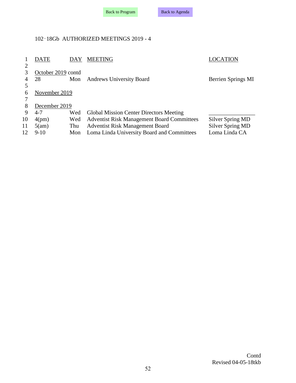#### 102‑18Gb AUTHORIZED MEETINGS 2019 - 4

|                | DATE                     | DAY | <b>MEETING</b>                                    | LOCATION           |
|----------------|--------------------------|-----|---------------------------------------------------|--------------------|
| $\overline{2}$ | October 2019 contd<br>28 | Mon | <b>Andrews University Board</b>                   | Berrien Springs MI |
|                |                          |     |                                                   |                    |
| h              | November 2019            |     |                                                   |                    |
|                |                          |     |                                                   |                    |
| 8              | December 2019            |     |                                                   |                    |
| 9              | $4 - 7$                  | Wed | <b>Global Mission Center Directors Meeting</b>    |                    |
| 10             | 4(pm)                    | Wed | <b>Adventist Risk Management Board Committees</b> | Silver Spring MD   |
| 11             | 5(am)                    | Thu | <b>Adventist Risk Management Board</b>            | Silver Spring MD   |
| 12             | $9-10$                   | Mon | Loma Linda University Board and Committees        | Loma Linda CA      |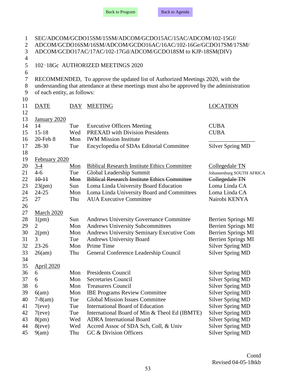<span id="page-52-0"></span>1 SEC/ADCOM/GCDO15SM/15SM/ADCOM/GCDO15AC/15AC/ADCOM/102-15Gf/ 2 ADCOM/GCDO16SM/16SM/ADCOM/GCDO16AC/16AC/102-16Ge/GCDO17SM/17SM/ 3 ADCOM/GCDO17AC/17AC/102-17Gd/ADCOM/GCDO18SM to KJP-18SM(DIV) 4 5 102‑18Gc AUTHORIZED MEETINGS 2020 6 7 RECOMMENDED, To approve the updated list of Authorized Meetings 2020, with the 8 understanding that attendance at these meetings must also be approved by the administration 9 of each entity, as follows: 10 11 <u>DATE</u> DAY MEETING LOCATION 12 13 January 2020 14 14 Tue Executive Officers Meeting CUBA 15 15-18 Wed PREXAD with Division Presidents CUBA 16 20-Feb 8 Mon IWM Mission Institute 17 28-30 Tue Encyclopedia of SDAs Editorial Committee Silver Spring MD 18 19 February 2020 20 3-4 Mon Biblical Research Institute Ethics Committee Collegedale TN 21 4-6 Tue Global Leadership Summit Johannesburg SOUTH AFRICA 22 10-11 Mon Biblical Research Institute Ethics Committee Collegedale TN 23 23(pm) Sun Loma Linda University Board Education Loma Linda CA 24 24-25 Mon Loma Linda University Board and Committees Loma Linda CA 25 27 Thu AUA Executive Committee Nairobi KENYA 26 27 March 2020 28 1(pm) Sun Andrews University Governance Committee Berrien Springs MI 29 2 Mon Andrews University Subcommittees Berrien Springs MI 30 2(pm) Mon Andrews University Seminary Executive Com Berrien Springs MI 31 3 Tue Andrews University Board Berrien Springs MI 32 23-26 Mon Prime Time Silver Spring MD 33 26(am) Thu General Conference Leadership Council Silver Spring MD 34 35 April 2020 36 6 Mon Presidents Council Silver Spring MD 37 6 Mon Secretaries Council Silver Spring MD 38 6 Mon Treasurers Council Silver Spring MD 39 6(am) Mon IBE Programs Review Committee Silver Spring MD 40 7-8(am) Tue Global Mission Issues Committee Silver Spring MD 41 7(eve) Tue International Board of Education Silver Spring MD 42 7(eve) Tue International Board of Min & Theol Ed (IBMTE) Silver Spring MD 43 8(pm) Wed ADRA International Board Silver Spring MD 44 8(eve) Wed Accred Assoc of SDA Sch, Coll, & Univ Silver Spring MD 45 9(am) Thu GC & Division Officers Silver Spring MD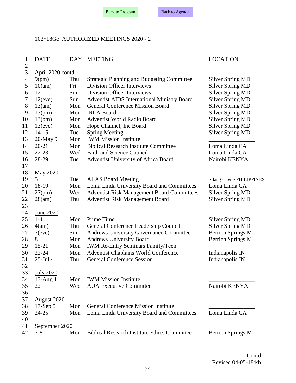#### 102‑18Gc AUTHORIZED MEETINGS 2020 - 2

#### 1 <u>DATE</u> DAY MEETING LOCATION

| $\overline{c}$   |                    |     |                                                     |                                  |
|------------------|--------------------|-----|-----------------------------------------------------|----------------------------------|
| $\mathfrak{Z}$   | April 2020 contd   |     |                                                     |                                  |
| 4                | 9(pm)              | Thu | <b>Strategic Planning and Budgeting Committee</b>   | <b>Silver Spring MD</b>          |
| $\mathfrak s$    | 10(am)             | Fri | <b>Division Officer Interviews</b>                  | <b>Silver Spring MD</b>          |
| 6                | 12                 | Sun | <b>Division Officer Interviews</b>                  | <b>Silver Spring MD</b>          |
| $\boldsymbol{7}$ | 12(eve)            | Sun | <b>Adventist AIDS International Ministry Board</b>  | <b>Silver Spring MD</b>          |
| $8\,$            | 13(am)             | Mon | <b>General Conference Mission Board</b>             | <b>Silver Spring MD</b>          |
| 9                | 13(pm)             | Mon | <b>IRLA Board</b>                                   | <b>Silver Spring MD</b>          |
| 10               | 13(pm)             | Mon | Adventist World Radio Board                         | <b>Silver Spring MD</b>          |
| 11               | 13(eve)            | Mon | Hope Channel, Inc Board                             | <b>Silver Spring MD</b>          |
| 12               | $14 - 15$          | Tue | <b>Spring Meeting</b>                               | <b>Silver Spring MD</b>          |
| 13               | 20-May 9           | Mon | <b>IWM Mission Institute</b>                        |                                  |
| 14               | $20 - 21$          | Mon | <b>Biblical Research Institute Committee</b>        | Loma Linda CA                    |
| 15               | $22 - 23$          | Wed | <b>Faith and Science Council</b>                    | Loma Linda CA                    |
| 16               | 28-29              | Tue | Adventist University of Africa Board                | Nairobi KENYA                    |
| 17               |                    |     |                                                     |                                  |
| 18               | <b>May 2020</b>    |     |                                                     |                                  |
| 19               | 5                  | Tue | <b>AIIAS Board Meeting</b>                          | <b>Silang Cavite PHILIPPINES</b> |
| 20               | 18-19              | Mon | Loma Linda University Board and Committees          | Loma Linda CA                    |
| 21               | 27(pm)             | Wed | <b>Adventist Risk Management Board Committees</b>   | <b>Silver Spring MD</b>          |
| 22               | 28(am)             | Thu | <b>Adventist Risk Management Board</b>              | <b>Silver Spring MD</b>          |
| 23               |                    |     |                                                     |                                  |
| 24               | <u>June 2020</u>   |     |                                                     |                                  |
| 25               | $1-4$              | Mon | Prime Time                                          | <b>Silver Spring MD</b>          |
| 26               | 4(am)              | Thu | General Conference Leadership Council               | <b>Silver Spring MD</b>          |
| 27               | 7(eve)             | Sun | Andrews University Governance Committee             | Berrien Springs MI               |
| 28               | 8                  | Mon | <b>Andrews University Board</b>                     | <b>Berrien Springs MI</b>        |
| 29               | $15 - 21$          | Mon | IWM Re-Entry Seminars Family/Teen                   |                                  |
| 30               | $22 - 24$          | Mon | <b>Adventist Chaplains World Conference</b>         | Indianapolis IN                  |
| 31               | 25-Jul 4           | Thu | <b>General Conference Session</b>                   | Indianapolis IN                  |
| 32               |                    |     |                                                     |                                  |
| 33               | <b>July 2020</b>   |     |                                                     |                                  |
| 34               | $13$ -Aug $1$      |     | Mon IWM Mission Institute                           |                                  |
| 35               | 22                 | Wed | <b>AUA Executive Committee</b>                      | Nairobi KENYA                    |
| 36               |                    |     |                                                     |                                  |
| 37               | <b>August 2020</b> |     |                                                     |                                  |
| 38               | $17-Sep5$          | Mon | <b>General Conference Mission Institute</b>         |                                  |
| 39               | $24 - 25$          | Mon | Loma Linda University Board and Committees          | Loma Linda CA                    |
| 40               |                    |     |                                                     |                                  |
| 41               | September 2020     |     |                                                     |                                  |
| 42               | $7 - 8$            | Mon | <b>Biblical Research Institute Ethics Committee</b> | Berrien Springs MI               |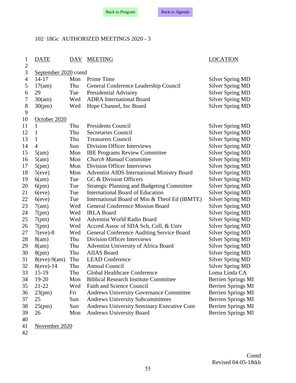#### 102‑18Gc AUTHORIZED MEETINGS 2020 - 3

| 1              | <b>DATE</b>          |     | DAY MEETING                                       | <b>LOCATION</b>           |  |
|----------------|----------------------|-----|---------------------------------------------------|---------------------------|--|
| $\overline{c}$ |                      |     |                                                   |                           |  |
| 3              | September 2020 contd |     |                                                   |                           |  |
| $\overline{4}$ | $14 - 17$            | Mon | Prime Time                                        | <b>Silver Spring MD</b>   |  |
| 5              | 17(am)               | Thu | General Conference Leadership Council             | <b>Silver Spring MD</b>   |  |
| 6              | 29                   | Tue | <b>Presidential Advisory</b>                      | <b>Silver Spring MD</b>   |  |
| 7              | 30(am)               | Wed | <b>ADRA</b> International Board                   | <b>Silver Spring MD</b>   |  |
| 8<br>9         | 30(pm)               | Wed | Hope Channel, Inc Board                           | <b>Silver Spring MD</b>   |  |
| 10             | October 2020         |     |                                                   |                           |  |
| 11             | 1                    | Thu | <b>Presidents Council</b>                         | <b>Silver Spring MD</b>   |  |
| 12             | 1                    | Thu | <b>Secretaries Council</b>                        | <b>Silver Spring MD</b>   |  |
| 13             | 1                    | Thu | <b>Treasurers Council</b>                         | <b>Silver Spring MD</b>   |  |
| 14             | $\overline{4}$       | Sun | Division Officer Interviews                       | <b>Silver Spring MD</b>   |  |
| 15             | 5(am)                | Mon | <b>IBE Programs Review Committee</b>              | <b>Silver Spring MD</b>   |  |
| 16             | 5(am)                | Mon | <b>Church Manual Committee</b>                    | <b>Silver Spring MD</b>   |  |
| 17             | 5(pm)                | Mon | <b>Division Officer Interviews</b>                | <b>Silver Spring MD</b>   |  |
| 18             | 5(eve)               | Mon | Adventist AIDS International Ministry Board       | <b>Silver Spring MD</b>   |  |
| 19             | 6(am)                | Tue | GC & Division Officers                            | <b>Silver Spring MD</b>   |  |
| 20             | 6(pm)                | Tue | <b>Strategic Planning and Budgeting Committee</b> | <b>Silver Spring MD</b>   |  |
| 21             | 6(eve)               | Tue | <b>International Board of Education</b>           | <b>Silver Spring MD</b>   |  |
| 22             | $6$ (eve)            | Tue | International Board of Min & Theol Ed (IBMTE)     | <b>Silver Spring MD</b>   |  |
| 23             | 7(am)                | Wed | <b>General Conference Mission Board</b>           | <b>Silver Spring MD</b>   |  |
| 24             | 7(pm)                | Wed | <b>IRLA Board</b>                                 | <b>Silver Spring MD</b>   |  |
| 25             | $7$ (pm)             | Wed | <b>Adventist World Radio Board</b>                | <b>Silver Spring MD</b>   |  |
| 26             | 7(pm)                | Wed | Accred Assoc of SDA Sch, Coll, & Univ             | <b>Silver Spring MD</b>   |  |
| 27             | $7(eve)-8$           | Wed | General Conference Auditing Service Board         | <b>Silver Spring MD</b>   |  |
| 28             | 8(am)                | Thu | <b>Division Officer Interviews</b>                | <b>Silver Spring MD</b>   |  |
| 29             | 8(am)                | Thu | Adventist University of Africa Board              | <b>Silver Spring MD</b>   |  |
| 30             | 8(pm)                | Thu | <b>AIIAS</b> Board                                | <b>Silver Spring MD</b>   |  |
| 31             | $8(eve)-9(am)$       | Thu | <b>LEAD Conference</b>                            | <b>Silver Spring MD</b>   |  |
| 32             | $8(eve)-14$          | Thu | <b>Annual Council</b>                             | <b>Silver Spring MD</b>   |  |
| 33             | $15-19$              | Thu | Global Healthcare Conference                      | Loma Linda CA             |  |
| 34             | $19 - 20$            | Mon | <b>Biblical Research Institute Committee</b>      | <b>Berrien Springs MI</b> |  |
| 35             | $21 - 22$            | Wed | <b>Faith and Science Council</b>                  | Berrien Springs MI        |  |
| 36             | 23(pm)               | Fri | <b>Andrews University Governance Committee</b>    | <b>Berrien Springs MI</b> |  |
| 37             | 25                   | Sun | <b>Andrews University Subcommittees</b>           | <b>Berrien Springs MI</b> |  |
| 38             | 25(pm)               | Sun | Andrews University Seminary Executive Com         | <b>Berrien Springs MI</b> |  |
| 39             | 26                   | Mon | Andrews University Board                          | <b>Berrien Springs MI</b> |  |
| 40             |                      |     |                                                   |                           |  |

41 November 2020

42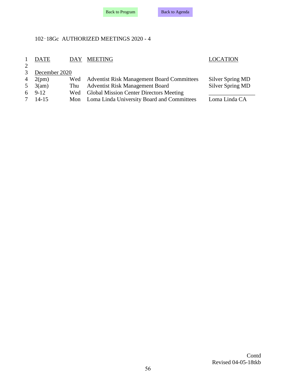#### 102‑18Gc AUTHORIZED MEETINGS 2020 - 4

## 1 <u>DATE</u> DAY MEETING LOCATION

# $\frac{2}{3}$

#### December 2020

| 4 $2(pm)$ | Wed Adventist Risk Management Board Committees | Silver Spring MD |
|-----------|------------------------------------------------|------------------|
| 5 $3(am)$ | Thu Adventist Risk Management Board            | Silver Spring MD |
| 6 9-12    | Wed Global Mission Center Directors Meeting    |                  |
| $14 - 15$ | Mon Loma Linda University Board and Committees | Loma Linda CA    |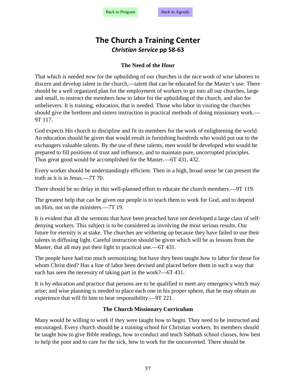## **The Church a Training Center** *Christian Service* **pp 58-63**

#### **The Need of the Hour**

<span id="page-56-0"></span>That which is needed now for the upbuilding of our churches is the nice work of wise laborers to discern and develop talent in the church,—talent that can be educated for the Master's use. There should be a well organized plan for the employment of workers to go into all our churches, large and small, to instruct the members how to labor for the upbuilding of the church, and also for unbelievers. It is training, education, that is needed. Those who labor in visiting the churches should give the brethren and sisters instruction in practical methods of doing missionary work.— 9T 117.

God expects His church to discipline and fit its members for the work of enlightening the world. An education should be given that would result in furnishing hundreds who would put out to the exchangers valuable talents. By the use of these talents, men would be developed who would be prepared to fill positions of trust and influence, and to maintain pure, uncorrupted principles. Thus great good would be accomplished for the Master.—6T 431, 432.

Every worker should be understandingly efficient. Then in a high, broad sense he can present the truth as it is in Jesus.—7T 70.

There should be no delay in this well-planned effort to educate the church members.—9T 119.

The greatest help that can be given our people is to teach them to work for God, and to depend on Him, not on the ministers.—7T 19.

It is evident that all the sermons that have been preached have not developed a large class of selfdenying workers. This subject is to be considered as involving the most serious results. Our future for eternity is at stake. The churches are withering up because they have failed to use their talents in diffusing light. Careful instruction should be given which will be as lessons from the Master, that all may put their light to practical use.—6T 431.

The people have had too much sermonizing; but have they been taught how to labor for those for whom Christ died? Has a line of labor been devised and placed before them in such a way that each has seen the necessity of taking part in the work?—6T 431.

It is by education and practice that persons are to be qualified to meet any emergency which may arise; and wise planning is needed to place each one in his proper sphere, that he may obtain an experience that will fit him to bear responsibility.—9T 221.

#### **The Church Missionary Curriculum**

Many would be willing to work if they were taught how to begin. They need to be instructed and encouraged. Every church should be a training school for Christian workers. Its members should be taught how to give Bible readings, how to conduct and teach Sabbath school classes, how best to help the poor and to care for the sick, how to work for the unconverted. There should be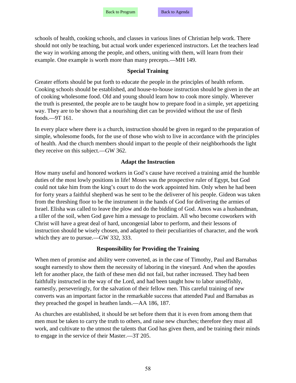schools of health, cooking schools, and classes in various lines of Christian help work. There should not only be teaching, but actual work under experienced instructors. Let the teachers lead the way in working among the people, and others, uniting with them, will learn from their example. One example is worth more than many precepts.—MH 149.

#### **Special Training**

Greater efforts should be put forth to educate the people in the principles of health reform. Cooking schools should be established, and house-to-house instruction should be given in the art of cooking wholesome food. Old and young should learn how to cook more simply. Wherever the truth is presented, the people are to be taught how to prepare food in a simple, yet appetizing way. They are to be shown that a nourishing diet can be provided without the use of flesh foods.—9T 161.

In every place where there is a church, instruction should be given in regard to the preparation of simple, wholesome foods, for the use of those who wish to live in accordance with the principles of health. And the church members should impart to the people of their neighborhoods the light they receive on this subject.—GW 362.

#### **Adapt the Instruction**

How many useful and honored workers in God's cause have received a training amid the humble duties of the most lowly positions in life! Moses was the prospective ruler of Egypt, but God could not take him from the king's court to do the work appointed him. Only when he had been for forty years a faithful shepherd was he sent to be the deliverer of his people. Gideon was taken from the threshing floor to be the instrument in the hands of God for delivering the armies of Israel. Elisha was called to leave the plow and do the bidding of God. Amos was a husbandman, a tiller of the soil, when God gave him a message to proclaim. All who become coworkers with Christ will have a great deal of hard, uncongenial labor to perform, and their lessons of instruction should be wisely chosen, and adapted to their peculiarities of character, and the work which they are to pursue.—GW 332, 333.

#### **Responsibility for Providing the Training**

When men of promise and ability were converted, as in the case of Timothy, Paul and Barnabas sought earnestly to show them the necessity of laboring in the vineyard. And when the apostles left for another place, the faith of these men did not fail, but rather increased. They had been faithfully instructed in the way of the Lord, and had been taught how to labor unselfishly, earnestly, perseveringly, for the salvation of their fellow men. This careful training of new converts was an important factor in the remarkable success that attended Paul and Barnabas as they preached the gospel in heathen lands.—AA 186, 187.

As churches are established, it should be set before them that it is even from among them that men must be taken to carry the truth to others, and raise new churches; therefore they must all work, and cultivate to the utmost the talents that God has given them, and be training their minds to engage in the service of their Master.—3T 205.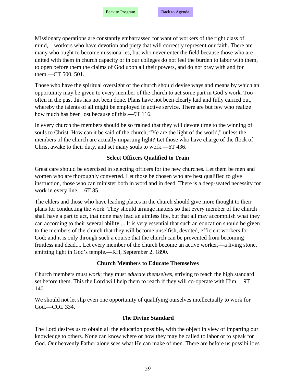Missionary operations are constantly embarrassed for want of workers of the right class of mind,—workers who have devotion and piety that will correctly represent our faith. There are many who ought to become missionaries, but who never enter the field because those who are united with them in church capacity or in our colleges do not feel the burden to labor with them, to open before them the claims of God upon all their powers, and do not pray with and for them.—CT 500, 501.

Those who have the spiritual oversight of the church should devise ways and means by which an opportunity may be given to every member of the church to act some part in God's work. Too often in the past this has not been done. Plans have not been clearly laid and fully carried out, whereby the talents of all might be employed in active service. There are but few who realize how much has been lost because of this.—9T 116.

In every church the members should be so trained that they will devote time to the winning of souls to Christ. How can it be said of the church, "Ye are the light of the world," unless the members of the church are actually imparting light? Let those who have charge of the flock of Christ awake to their duty, and set many souls to work.—6T 436.

#### **Select Officers Qualified to Train**

Great care should be exercised in selecting officers for the new churches. Let them be men and women who are thoroughly converted. Let those be chosen who are best qualified to give instruction, those who can minister both in word and in deed. There is a deep-seated necessity for work in every line.—6T 85.

The elders and those who have leading places in the church should give more thought to their plans for conducting the work. They should arrange matters so that every member of the church shall have a part to act, that none may lead an aimless life, but that all may accomplish what they can according to their several ability.... It is very essential that such an education should be given to the members of the church that they will become unselfish, devoted, efficient workers for God; and it is only through such a course that the church can be prevented from becoming fruitless and dead.... Let every member of the church become an active worker,—a living stone, emitting light in God's temple.—RH, September 2, 1890.

#### **Church Members to Educate Themselves**

Church members must *work*; they must *educate themselves*, striving to reach the high standard set before them. This the Lord will help them to reach if they will co-operate with Him.—9T 140.

We should not let slip even one opportunity of qualifying ourselves intellectually to work for God.—COL 334.

#### **The Divine Standard**

The Lord desires us to obtain all the education possible, with the object in view of imparting our knowledge to others. None can know where or how they may be called to labor or to speak for God. Our heavenly Father alone sees what He can make of men. There are before us possibilities